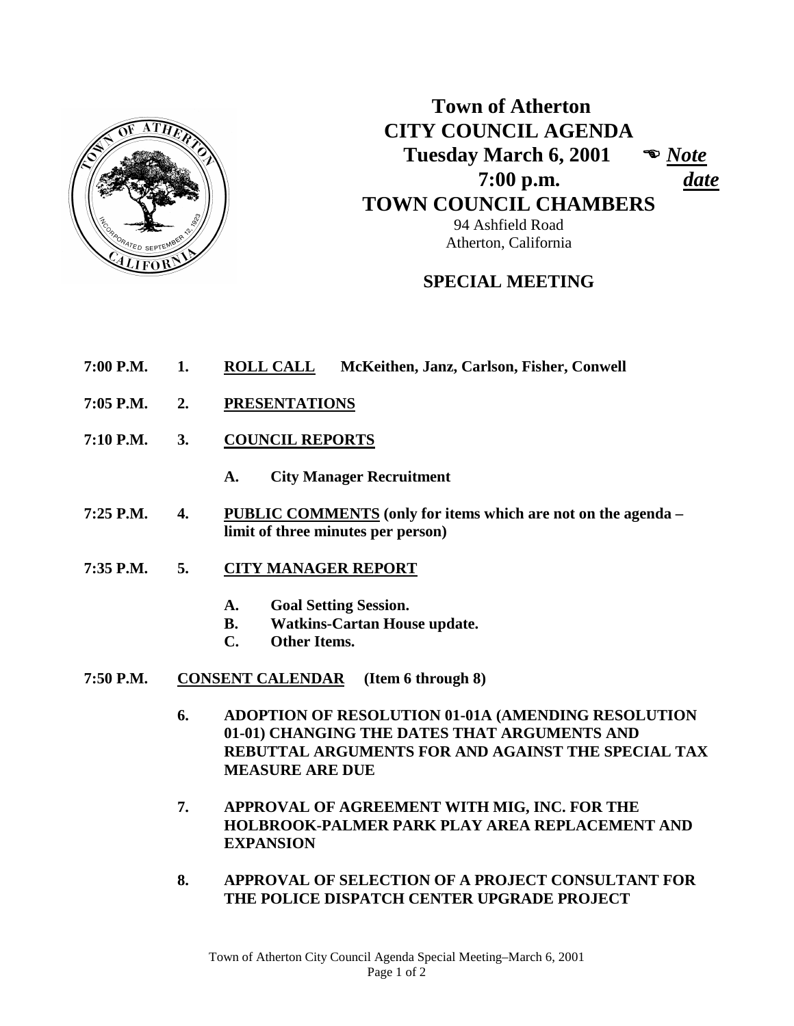

**Town of Atherton CITY COUNCIL AGENDA Tuesday March 6, 2001**  *Note*  **7:00 p.m.** *date*  **TOWN COUNCIL CHAMBERS** 94 Ashfield Road

## **SPECIAL MEETING**

Atherton, California

- **7:00 P.M. 1. ROLL CALL McKeithen, Janz, Carlson, Fisher, Conwell**
- **7:05 P.M. 2. PRESENTATIONS**
- **7:10 P.M. 3. COUNCIL REPORTS**
	- **A. City Manager Recruitment**
- **7:25 P.M. 4. PUBLIC COMMENTS (only for items which are not on the agenda – limit of three minutes per person)**
- **7:35 P.M. 5. CITY MANAGER REPORT**
	- **A. Goal Setting Session.**
	- **B. Watkins-Cartan House update.**
	- **C. Other Items.**
- **7:50 P.M. CONSENT CALENDAR (Item 6 through 8)**
	- **6. ADOPTION OF RESOLUTION 01-01A (AMENDING RESOLUTION 01-01) CHANGING THE DATES THAT ARGUMENTS AND REBUTTAL ARGUMENTS FOR AND AGAINST THE SPECIAL TAX MEASURE ARE DUE**
	- **7. APPROVAL OF AGREEMENT WITH MIG, INC. FOR THE HOLBROOK-PALMER PARK PLAY AREA REPLACEMENT AND EXPANSION**
	- **8. APPROVAL OF SELECTION OF A PROJECT CONSULTANT FOR THE POLICE DISPATCH CENTER UPGRADE PROJECT**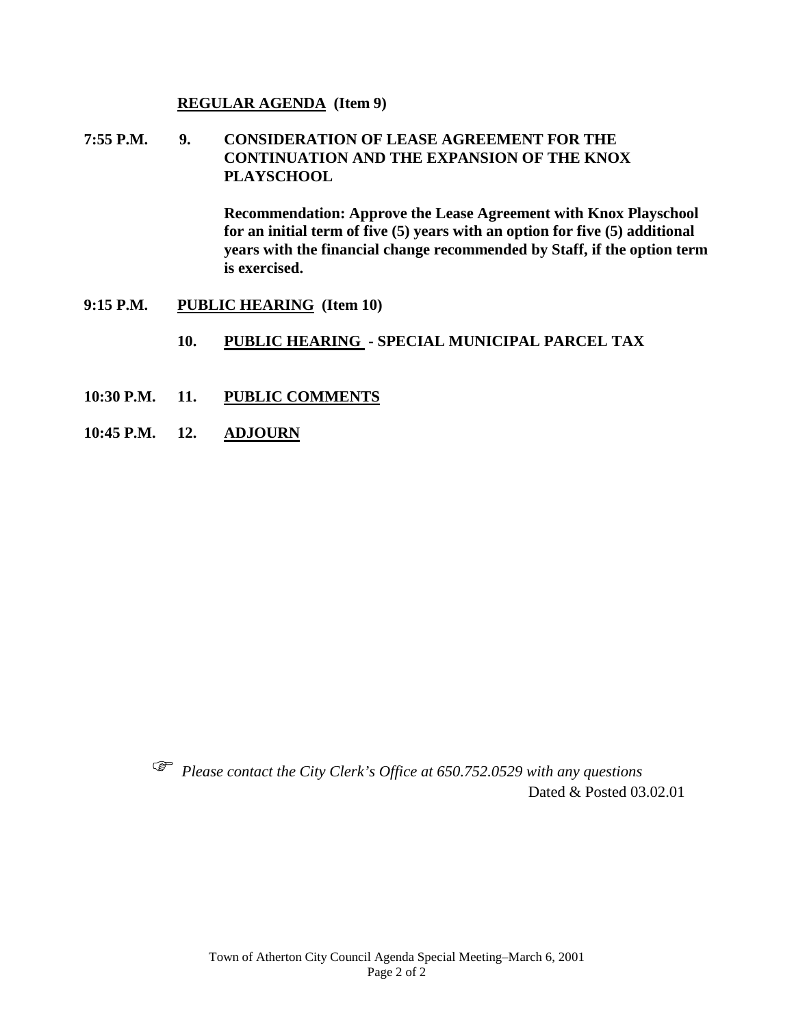#### **REGULAR AGENDA (Item 9)**

**7:55 P.M. 9. CONSIDERATION OF LEASE AGREEMENT FOR THE CONTINUATION AND THE EXPANSION OF THE KNOX PLAYSCHOOL** 

> **Recommendation: Approve the Lease Agreement with Knox Playschool for an initial term of five (5) years with an option for five (5) additional years with the financial change recommended by Staff, if the option term is exercised.**

- **9:15 P.M. PUBLIC HEARING (Item 10)**
	- **10. PUBLIC HEARING - SPECIAL MUNICIPAL PARCEL TAX**
- **10:30 P.M. 11. PUBLIC COMMENTS**
- **10:45 P.M. 12. ADJOURN**



 *Please contact the City Clerk's Office at 650.752.0529 with any questions* Dated & Posted 03.02.01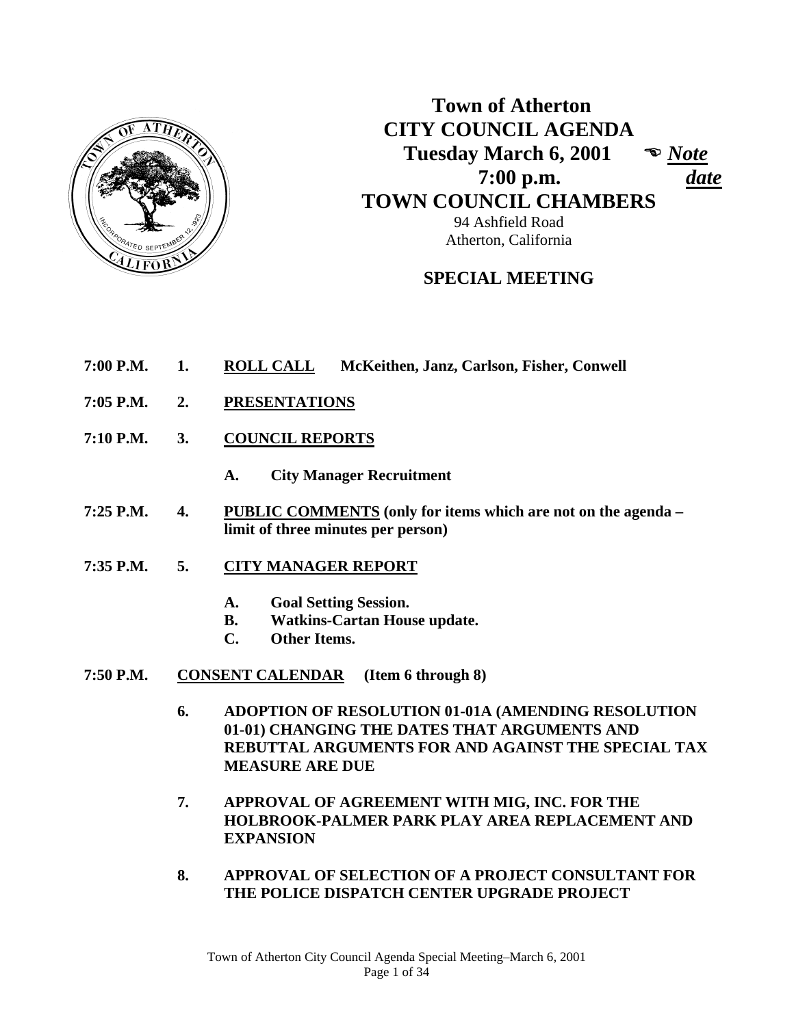

 **Town of Atherton CITY COUNCIL AGENDA Tuesday March 6, 2001**  *Note*  **7:00 p.m.** *date*  **TOWN COUNCIL CHAMBERS** 94 Ashfield Road

**SPECIAL MEETING** 

Atherton, California

- **7:00 P.M. 1. ROLL CALL McKeithen, Janz, Carlson, Fisher, Conwell**
- **7:05 P.M. 2. PRESENTATIONS**
- **7:10 P.M. 3. COUNCIL REPORTS**
	- **A. City Manager Recruitment**
- **7:25 P.M. 4. PUBLIC COMMENTS (only for items which are not on the agenda limit of three minutes per person)**
- **7:35 P.M. 5. CITY MANAGER REPORT**
	- **A. Goal Setting Session.**
	- **B. Watkins-Cartan House update.**
	- **C. Other Items.**
- **7:50 P.M. CONSENT CALENDAR (Item 6 through 8)** 
	- **6. ADOPTION OF RESOLUTION 01-01A (AMENDING RESOLUTION 01-01) CHANGING THE DATES THAT ARGUMENTS AND REBUTTAL ARGUMENTS FOR AND AGAINST THE SPECIAL TAX MEASURE ARE DUE**
	- **7. APPROVAL OF AGREEMENT WITH MIG, INC. FOR THE HOLBROOK-PALMER PARK PLAY AREA REPLACEMENT AND EXPANSION**
	- **8. APPROVAL OF SELECTION OF A PROJECT CONSULTANT FOR THE POLICE DISPATCH CENTER UPGRADE PROJECT**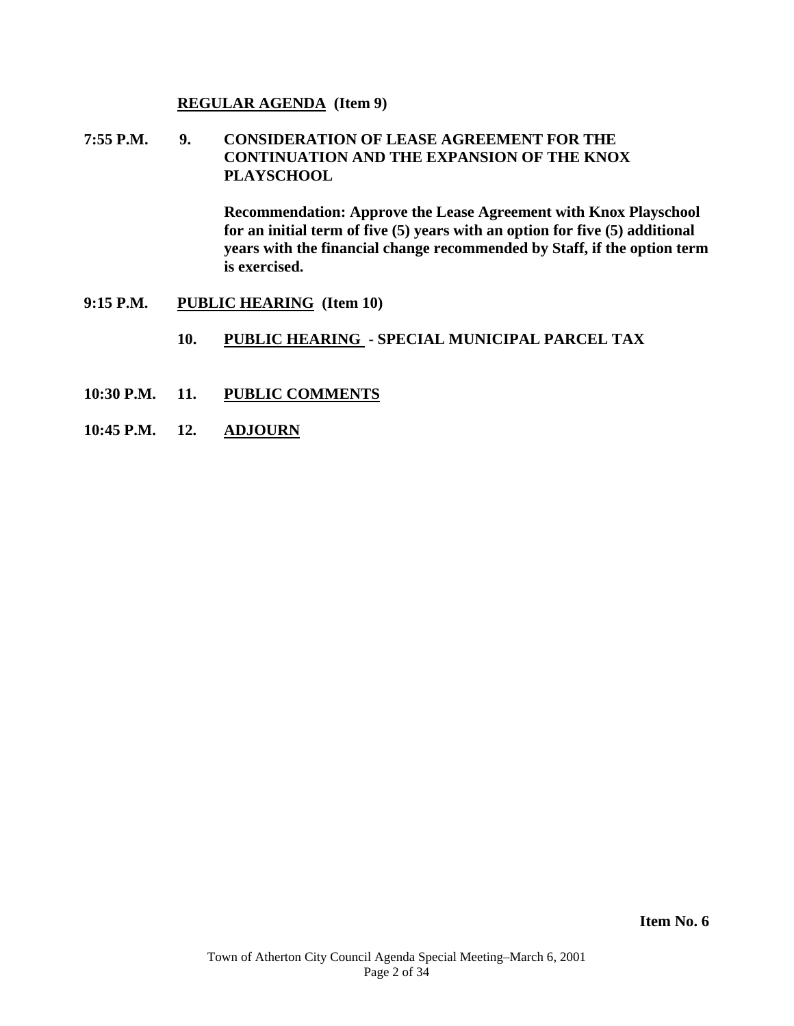#### **REGULAR AGENDA (Item 9)**

**7:55 P.M. 9. CONSIDERATION OF LEASE AGREEMENT FOR THE CONTINUATION AND THE EXPANSION OF THE KNOX PLAYSCHOOL** 

> **Recommendation: Approve the Lease Agreement with Knox Playschool for an initial term of five (5) years with an option for five (5) additional years with the financial change recommended by Staff, if the option term is exercised.**

- **9:15 P.M. PUBLIC HEARING (Item 10)** 
	- 10. PUBLIC HEARING SPECIAL MUNICIPAL PARCEL TAX
- **10:30 P.M. 11. PUBLIC COMMENTS**
- **10:45 P.M. 12. ADJOURN**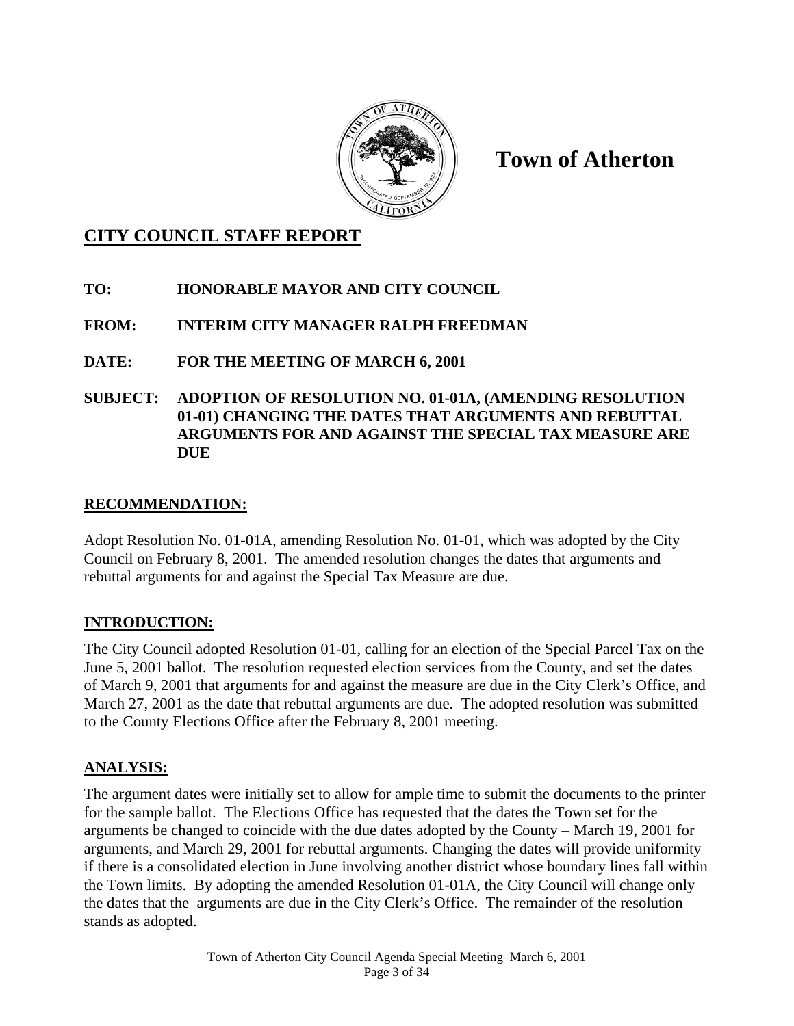

**Town of Atherton** 

## **CITY COUNCIL STAFF REPORT**

## **TO: HONORABLE MAYOR AND CITY COUNCIL**

## **FROM: INTERIM CITY MANAGER RALPH FREEDMAN**

## **DATE: FOR THE MEETING OF MARCH 6, 2001**

**SUBJECT: ADOPTION OF RESOLUTION NO. 01-01A, (AMENDING RESOLUTION 01-01) CHANGING THE DATES THAT ARGUMENTS AND REBUTTAL ARGUMENTS FOR AND AGAINST THE SPECIAL TAX MEASURE ARE DUE** 

#### **RECOMMENDATION:**

Adopt Resolution No. 01-01A, amending Resolution No. 01-01, which was adopted by the City Council on February 8, 2001. The amended resolution changes the dates that arguments and rebuttal arguments for and against the Special Tax Measure are due.

#### **INTRODUCTION:**

The City Council adopted Resolution 01-01, calling for an election of the Special Parcel Tax on the June 5, 2001 ballot. The resolution requested election services from the County, and set the dates of March 9, 2001 that arguments for and against the measure are due in the City Clerk's Office, and March 27, 2001 as the date that rebuttal arguments are due. The adopted resolution was submitted to the County Elections Office after the February 8, 2001 meeting.

## **ANALYSIS:**

The argument dates were initially set to allow for ample time to submit the documents to the printer for the sample ballot. The Elections Office has requested that the dates the Town set for the arguments be changed to coincide with the due dates adopted by the County – March 19, 2001 for arguments, and March 29, 2001 for rebuttal arguments. Changing the dates will provide uniformity if there is a consolidated election in June involving another district whose boundary lines fall within the Town limits. By adopting the amended Resolution 01-01A, the City Council will change only the dates that the arguments are due in the City Clerk's Office. The remainder of the resolution stands as adopted.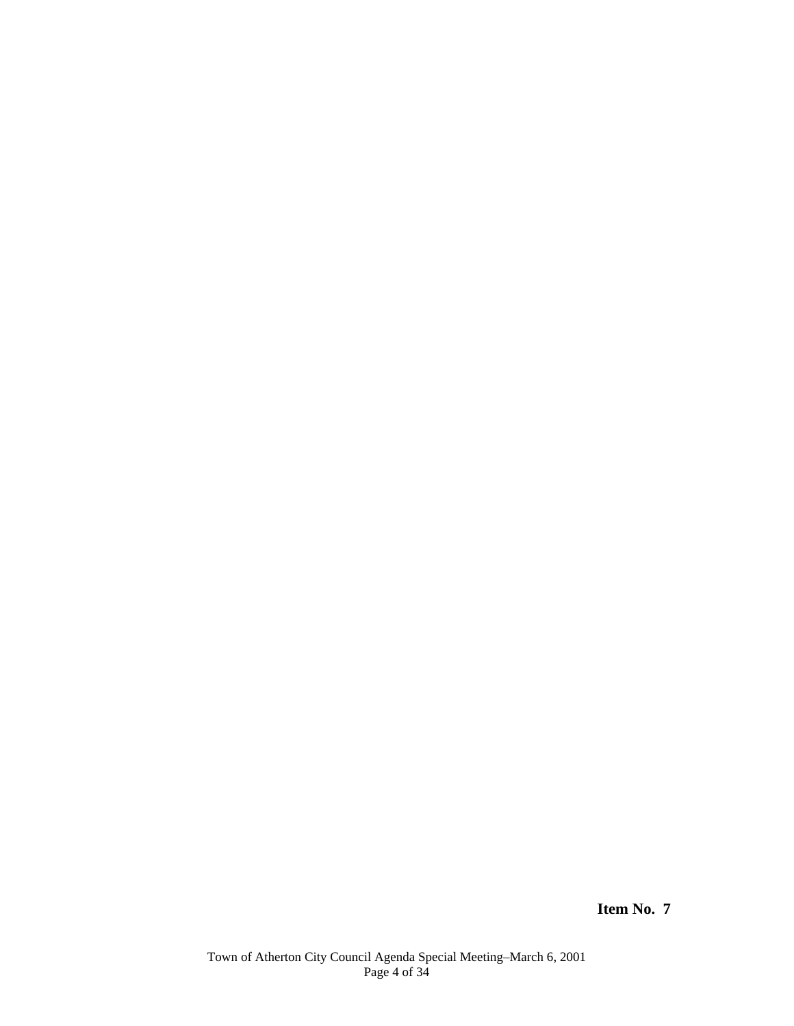**Item No. 7**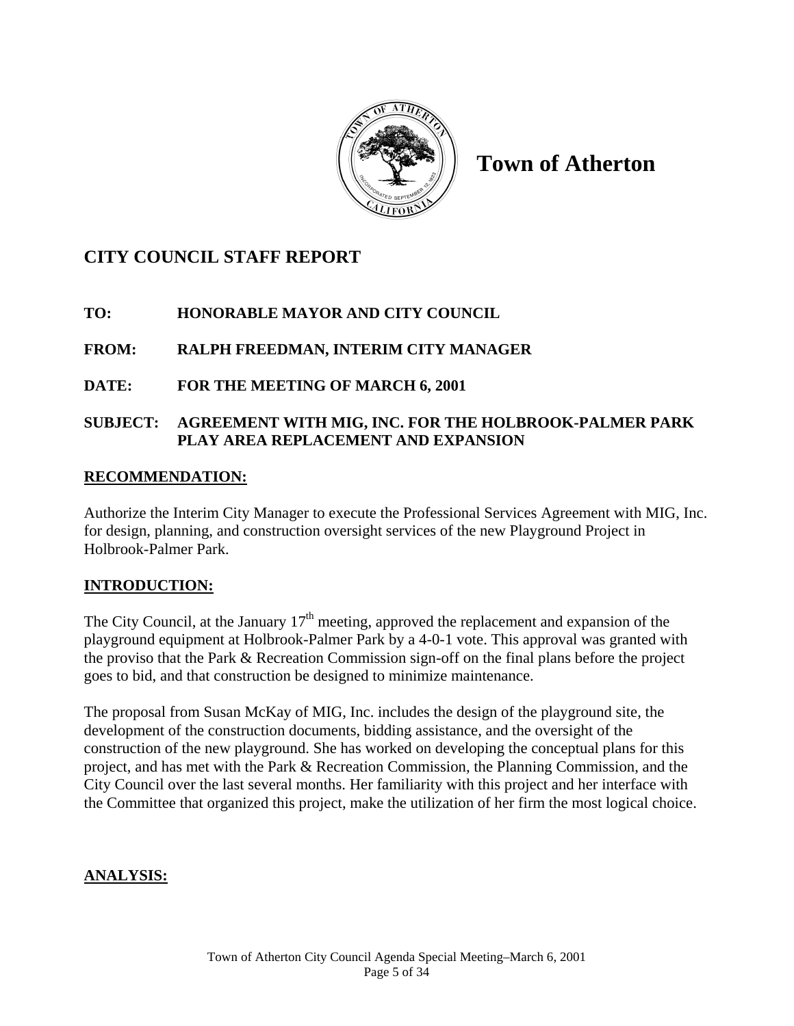

**Town of Atherton** 

# **CITY COUNCIL STAFF REPORT**

## **TO: HONORABLE MAYOR AND CITY COUNCIL**

## **FROM: RALPH FREEDMAN, INTERIM CITY MANAGER**

## **DATE: FOR THE MEETING OF MARCH 6, 2001**

## **SUBJECT: AGREEMENT WITH MIG, INC. FOR THE HOLBROOK-PALMER PARK PLAY AREA REPLACEMENT AND EXPANSION**

#### **RECOMMENDATION:**

Authorize the Interim City Manager to execute the Professional Services Agreement with MIG, Inc. for design, planning, and construction oversight services of the new Playground Project in Holbrook-Palmer Park.

## **INTRODUCTION:**

The City Council, at the January  $17<sup>th</sup>$  meeting, approved the replacement and expansion of the playground equipment at Holbrook-Palmer Park by a 4-0-1 vote. This approval was granted with the proviso that the Park & Recreation Commission sign-off on the final plans before the project goes to bid, and that construction be designed to minimize maintenance.

The proposal from Susan McKay of MIG, Inc. includes the design of the playground site, the development of the construction documents, bidding assistance, and the oversight of the construction of the new playground. She has worked on developing the conceptual plans for this project, and has met with the Park & Recreation Commission, the Planning Commission, and the City Council over the last several months. Her familiarity with this project and her interface with the Committee that organized this project, make the utilization of her firm the most logical choice.

#### **ANALYSIS:**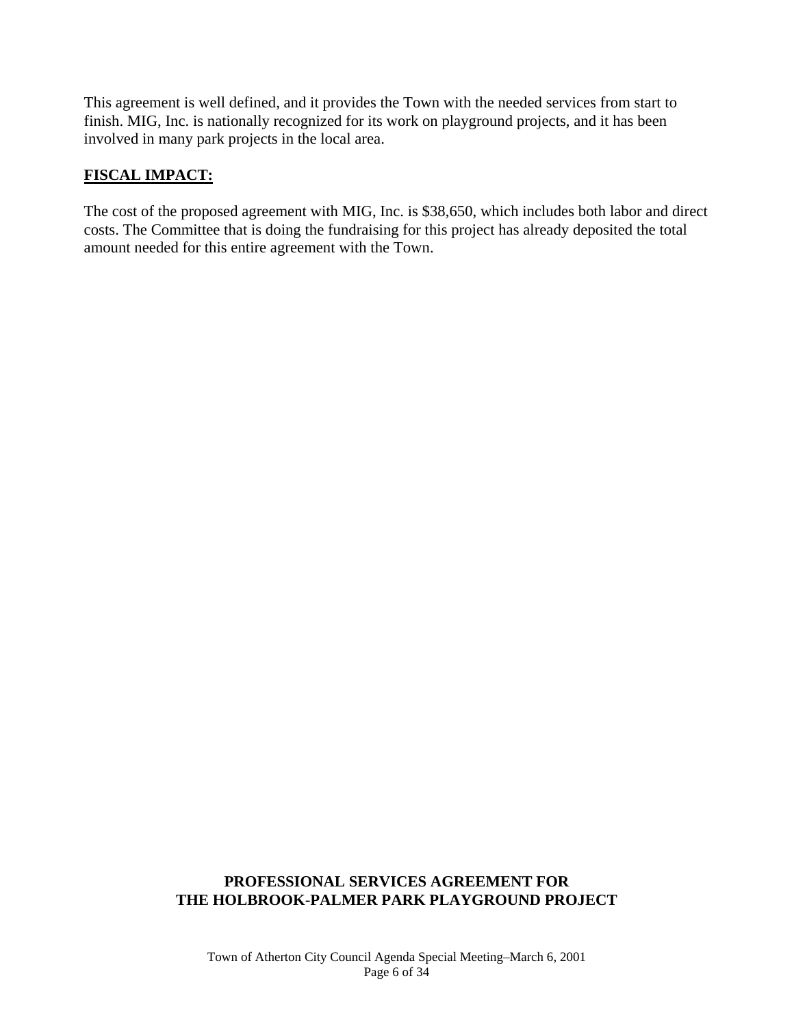This agreement is well defined, and it provides the Town with the needed services from start to finish. MIG, Inc. is nationally recognized for its work on playground projects, and it has been involved in many park projects in the local area.

#### **FISCAL IMPACT:**

The cost of the proposed agreement with MIG, Inc. is \$38,650, which includes both labor and direct costs. The Committee that is doing the fundraising for this project has already deposited the total amount needed for this entire agreement with the Town.

#### **PROFESSIONAL SERVICES AGREEMENT FOR THE HOLBROOK-PALMER PARK PLAYGROUND PROJECT**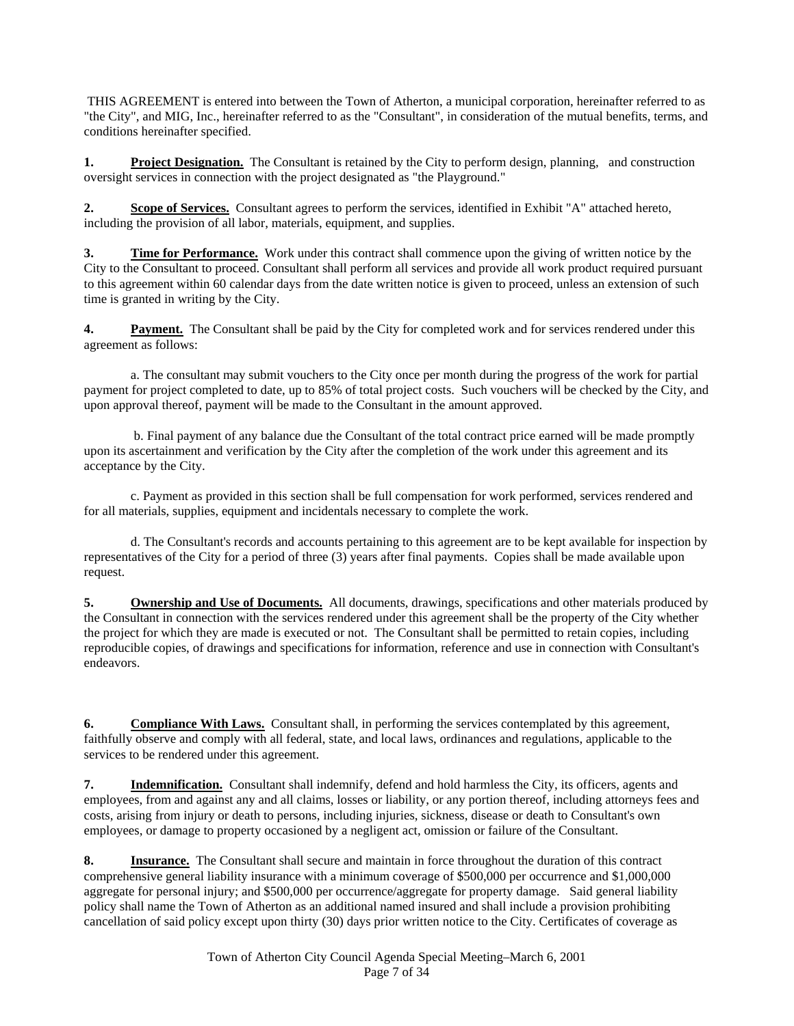THIS AGREEMENT is entered into between the Town of Atherton, a municipal corporation, hereinafter referred to as "the City", and MIG, Inc., hereinafter referred to as the "Consultant", in consideration of the mutual benefits, terms, and conditions hereinafter specified.

**1. Project Designation.** The Consultant is retained by the City to perform design, planning, and construction oversight services in connection with the project designated as "the Playground."

**2. Scope of Services.** Consultant agrees to perform the services, identified in Exhibit "A" attached hereto, including the provision of all labor, materials, equipment, and supplies.

**3. Time for Performance.** Work under this contract shall commence upon the giving of written notice by the City to the Consultant to proceed. Consultant shall perform all services and provide all work product required pursuant to this agreement within 60 calendar days from the date written notice is given to proceed, unless an extension of such time is granted in writing by the City.

**4. Payment.** The Consultant shall be paid by the City for completed work and for services rendered under this agreement as follows:

 a. The consultant may submit vouchers to the City once per month during the progress of the work for partial payment for project completed to date, up to 85% of total project costs. Such vouchers will be checked by the City, and upon approval thereof, payment will be made to the Consultant in the amount approved.

 b. Final payment of any balance due the Consultant of the total contract price earned will be made promptly upon its ascertainment and verification by the City after the completion of the work under this agreement and its acceptance by the City.

 c. Payment as provided in this section shall be full compensation for work performed, services rendered and for all materials, supplies, equipment and incidentals necessary to complete the work.

 d. The Consultant's records and accounts pertaining to this agreement are to be kept available for inspection by representatives of the City for a period of three (3) years after final payments. Copies shall be made available upon request.

**5. Ownership and Use of Documents.** All documents, drawings, specifications and other materials produced by the Consultant in connection with the services rendered under this agreement shall be the property of the City whether the project for which they are made is executed or not. The Consultant shall be permitted to retain copies, including reproducible copies, of drawings and specifications for information, reference and use in connection with Consultant's endeavors.

**6. Compliance With Laws.** Consultant shall, in performing the services contemplated by this agreement, faithfully observe and comply with all federal, state, and local laws, ordinances and regulations, applicable to the services to be rendered under this agreement.

**7. Indemnification.** Consultant shall indemnify, defend and hold harmless the City, its officers, agents and employees, from and against any and all claims, losses or liability, or any portion thereof, including attorneys fees and costs, arising from injury or death to persons, including injuries, sickness, disease or death to Consultant's own employees, or damage to property occasioned by a negligent act, omission or failure of the Consultant.

**8. Insurance.** The Consultant shall secure and maintain in force throughout the duration of this contract comprehensive general liability insurance with a minimum coverage of \$500,000 per occurrence and \$1,000,000 aggregate for personal injury; and \$500,000 per occurrence/aggregate for property damage. Said general liability policy shall name the Town of Atherton as an additional named insured and shall include a provision prohibiting cancellation of said policy except upon thirty (30) days prior written notice to the City. Certificates of coverage as

> Town of Atherton City Council Agenda Special Meeting–March 6, 2001 Page 7 of 34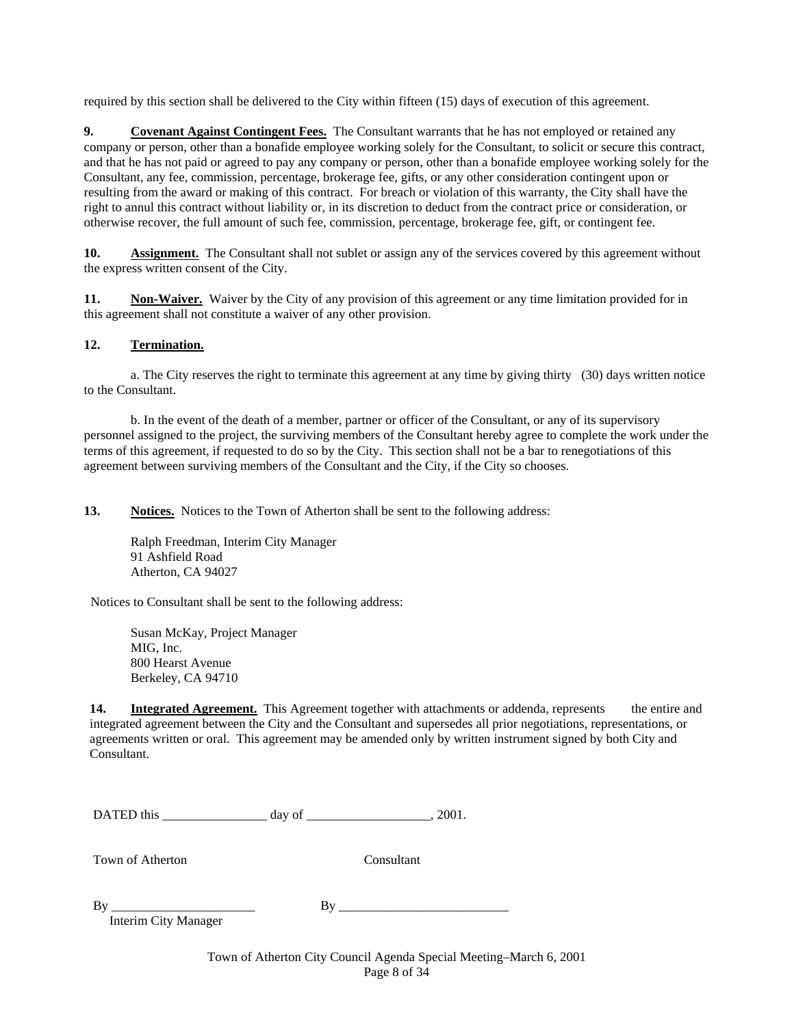required by this section shall be delivered to the City within fifteen (15) days of execution of this agreement.

**9.** Covenant Against Contingent Fees. The Consultant warrants that he has not employed or retained any company or person, other than a bonafide employee working solely for the Consultant, to solicit or secure this contract, and that he has not paid or agreed to pay any company or person, other than a bonafide employee working solely for the Consultant, any fee, commission, percentage, brokerage fee, gifts, or any other consideration contingent upon or resulting from the award or making of this contract. For breach or violation of this warranty, the City shall have the right to annul this contract without liability or, in its discretion to deduct from the contract price or consideration, or otherwise recover, the full amount of such fee, commission, percentage, brokerage fee, gift, or contingent fee.

**10.** Assignment. The Consultant shall not sublet or assign any of the services covered by this agreement without the express written consent of the City.

**11.** Non-Waiver. Waiver by the City of any provision of this agreement or any time limitation provided for in this agreement shall not constitute a waiver of any other provision.

#### **12. Termination.**

 a. The City reserves the right to terminate this agreement at any time by giving thirty (30) days written notice to the Consultant.

 b. In the event of the death of a member, partner or officer of the Consultant, or any of its supervisory personnel assigned to the project, the surviving members of the Consultant hereby agree to complete the work under the terms of this agreement, if requested to do so by the City. This section shall not be a bar to renegotiations of this agreement between surviving members of the Consultant and the City, if the City so chooses.

**13.** Notices. Notices to the Town of Atherton shall be sent to the following address:

 Ralph Freedman, Interim City Manager 91 Ashfield Road Atherton, CA 94027

Notices to Consultant shall be sent to the following address:

 Susan McKay, Project Manager MIG, Inc. 800 Hearst Avenue Berkeley, CA 94710

**14.** Integrated Agreement. This Agreement together with attachments or addenda, represents the entire and integrated agreement between the City and the Consultant and supersedes all prior negotiations, representations, or agreements written or oral. This agreement may be amended only by written instrument signed by both City and Consultant.

DATED this \_\_\_\_\_\_\_\_\_\_\_\_\_\_\_\_ day of \_\_\_\_\_\_\_\_\_\_\_\_\_\_\_\_\_\_\_, 2001.

Town of Atherton Consultant

By \_\_\_\_\_\_\_\_\_\_\_\_\_\_\_\_\_\_\_\_\_\_ By \_\_\_\_\_\_\_\_\_\_\_\_\_\_\_\_\_\_\_\_\_\_\_\_\_\_

Interim City Manager

Town of Atherton City Council Agenda Special Meeting–March 6, 2001 Page 8 of 34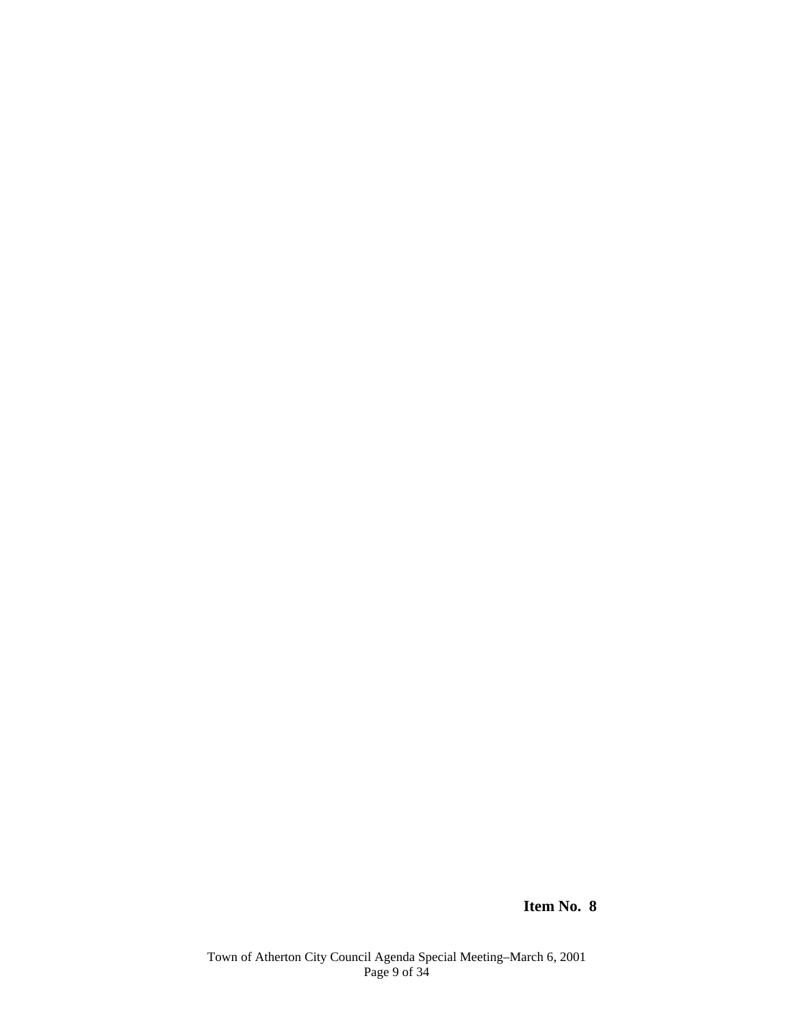**Item No. 8**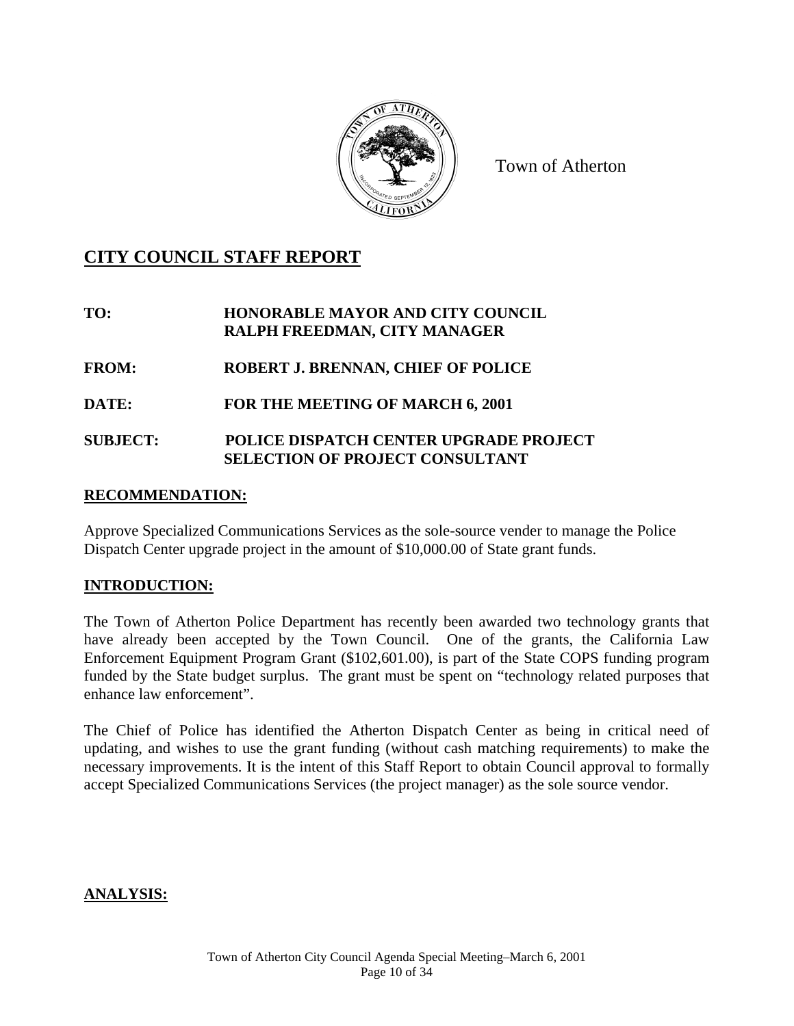

Town of Atherton

## **CITY COUNCIL STAFF REPORT**

#### **TO: HONORABLE MAYOR AND CITY COUNCIL RALPH FREEDMAN, CITY MANAGER**

**FROM: ROBERT J. BRENNAN, CHIEF OF POLICE** 

**DATE: FOR THE MEETING OF MARCH 6, 2001** 

#### **SUBJECT: POLICE DISPATCH CENTER UPGRADE PROJECT SELECTION OF PROJECT CONSULTANT**

#### **RECOMMENDATION:**

Approve Specialized Communications Services as the sole-source vender to manage the Police Dispatch Center upgrade project in the amount of \$10,000.00 of State grant funds.

## **INTRODUCTION:**

The Town of Atherton Police Department has recently been awarded two technology grants that have already been accepted by the Town Council. One of the grants, the California Law Enforcement Equipment Program Grant (\$102,601.00), is part of the State COPS funding program funded by the State budget surplus. The grant must be spent on "technology related purposes that enhance law enforcement".

The Chief of Police has identified the Atherton Dispatch Center as being in critical need of updating, and wishes to use the grant funding (without cash matching requirements) to make the necessary improvements. It is the intent of this Staff Report to obtain Council approval to formally accept Specialized Communications Services (the project manager) as the sole source vendor.

#### **ANALYSIS:**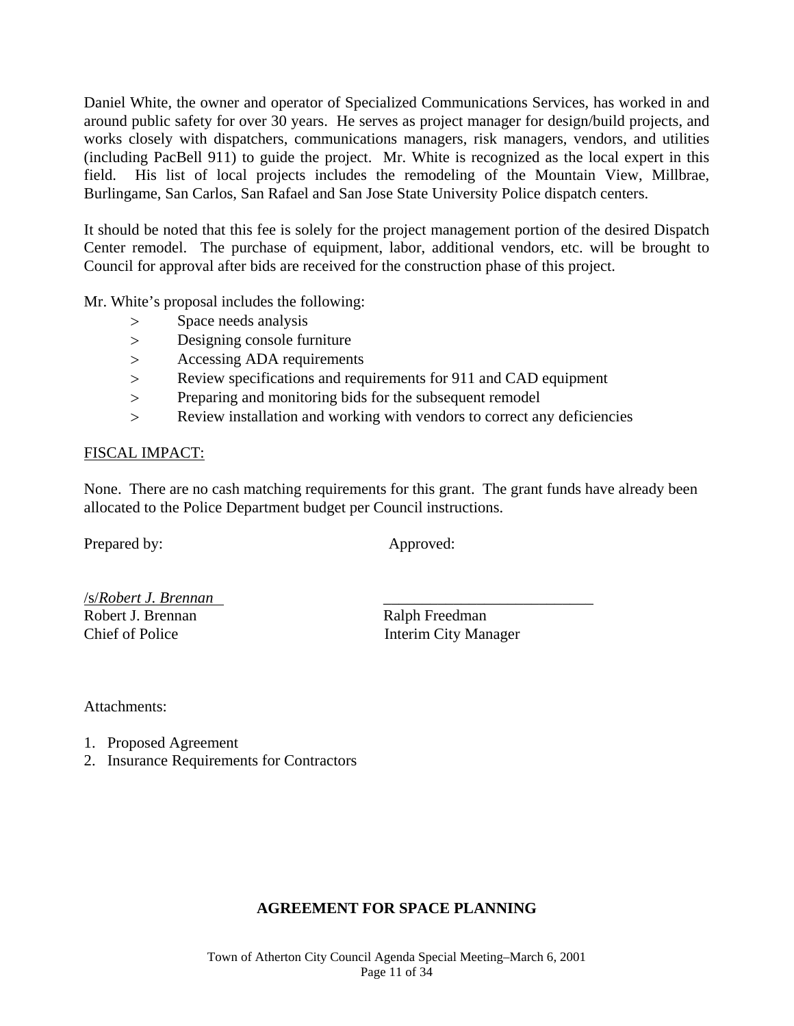Daniel White, the owner and operator of Specialized Communications Services, has worked in and around public safety for over 30 years. He serves as project manager for design/build projects, and works closely with dispatchers, communications managers, risk managers, vendors, and utilities (including PacBell 911) to guide the project. Mr. White is recognized as the local expert in this field. His list of local projects includes the remodeling of the Mountain View, Millbrae, Burlingame, San Carlos, San Rafael and San Jose State University Police dispatch centers.

It should be noted that this fee is solely for the project management portion of the desired Dispatch Center remodel. The purchase of equipment, labor, additional vendors, etc. will be brought to Council for approval after bids are received for the construction phase of this project.

Mr. White's proposal includes the following:

- > Space needs analysis
- Designing console furniture
- > Accessing ADA requirements
- Review specifications and requirements for 911 and CAD equipment
- Preparing and monitoring bids for the subsequent remodel
- Review installation and working with vendors to correct any deficiencies

#### FISCAL IMPACT:

None. There are no cash matching requirements for this grant. The grant funds have already been allocated to the Police Department budget per Council instructions.

Prepared by: Approved:

/s/*Robert J. Brennan* \_\_\_\_\_\_\_\_\_\_\_\_\_\_\_\_\_\_\_\_\_\_\_\_\_\_\_ Robert J. Brennan Ralph Freedman Chief of Police Interim City Manager

Attachments:

- 1. Proposed Agreement
- 2. Insurance Requirements for Contractors

#### **AGREEMENT FOR SPACE PLANNING**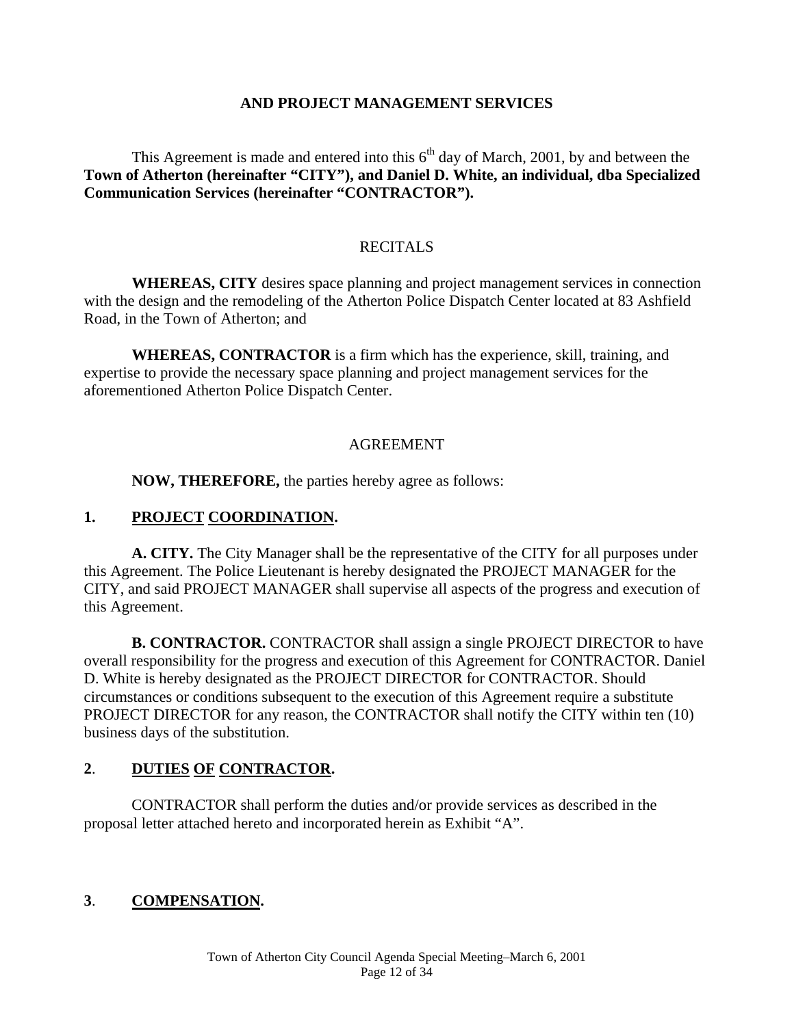#### **AND PROJECT MANAGEMENT SERVICES**

This Agreement is made and entered into this  $6<sup>th</sup>$  day of March, 2001, by and between the **Town of Atherton (hereinafter "CITY"), and Daniel D. White, an individual, dba Specialized Communication Services (hereinafter "CONTRACTOR").** 

#### **RECITALS**

**WHEREAS, CITY** desires space planning and project management services in connection with the design and the remodeling of the Atherton Police Dispatch Center located at 83 Ashfield Road, in the Town of Atherton; and

**WHEREAS, CONTRACTOR** is a firm which has the experience, skill, training, and expertise to provide the necessary space planning and project management services for the aforementioned Atherton Police Dispatch Center.

#### AGREEMENT

**NOW, THEREFORE,** the parties hereby agree as follows:

#### **1. PROJECT COORDINATION.**

**A. CITY.** The City Manager shall be the representative of the CITY for all purposes under this Agreement. The Police Lieutenant is hereby designated the PROJECT MANAGER for the CITY, and said PROJECT MANAGER shall supervise all aspects of the progress and execution of this Agreement.

**B. CONTRACTOR.** CONTRACTOR shall assign a single PROJECT DIRECTOR to have overall responsibility for the progress and execution of this Agreement for CONTRACTOR. Daniel D. White is hereby designated as the PROJECT DIRECTOR for CONTRACTOR. Should circumstances or conditions subsequent to the execution of this Agreement require a substitute PROJECT DIRECTOR for any reason, the CONTRACTOR shall notify the CITY within ten (10) business days of the substitution.

#### **2**. **DUTIES OF CONTRACTOR.**

CONTRACTOR shall perform the duties and/or provide services as described in the proposal letter attached hereto and incorporated herein as Exhibit "A".

#### **3**. **COMPENSATION.**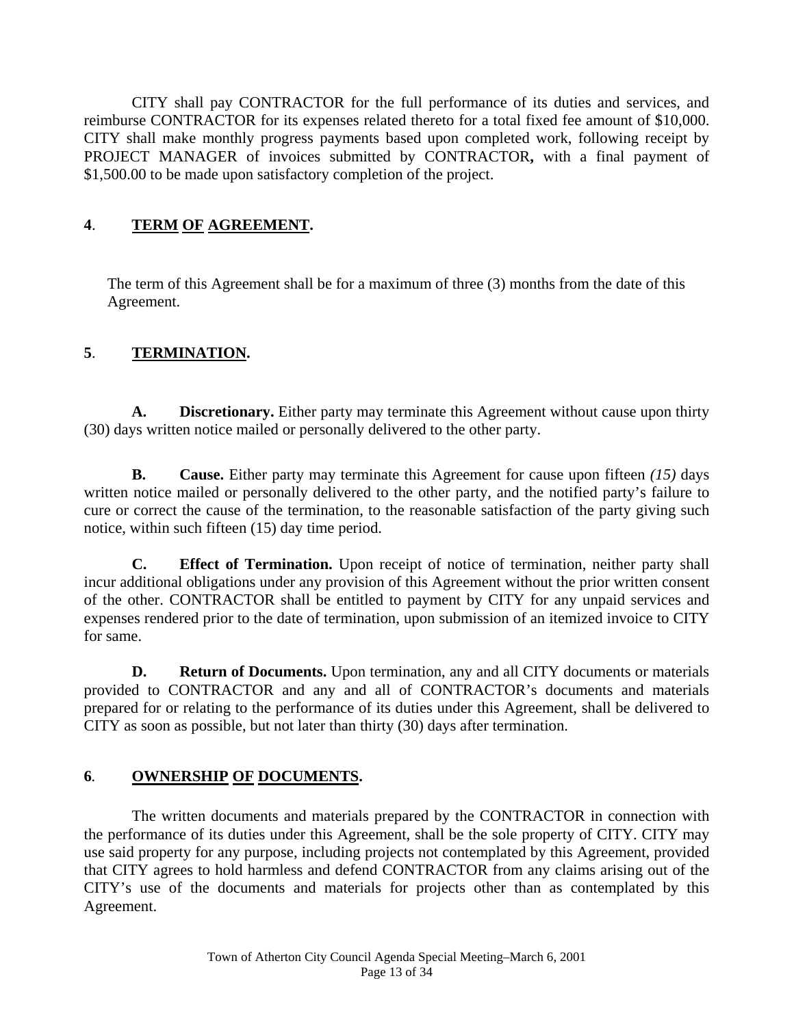CITY shall pay CONTRACTOR for the full performance of its duties and services, and reimburse CONTRACTOR for its expenses related thereto for a total fixed fee amount of \$10,000. CITY shall make monthly progress payments based upon completed work, following receipt by PROJECT MANAGER of invoices submitted by CONTRACTOR**,** with a final payment of \$1,500.00 to be made upon satisfactory completion of the project.

## **4**. **TERM OF AGREEMENT.**

The term of this Agreement shall be for a maximum of three (3) months from the date of this Agreement.

## **5**. **TERMINATION.**

**A. Discretionary.** Either party may terminate this Agreement without cause upon thirty (30) days written notice mailed or personally delivered to the other party.

**B. Cause.** Either party may terminate this Agreement for cause upon fifteen *(15)* days written notice mailed or personally delivered to the other party, and the notified party's failure to cure or correct the cause of the termination, to the reasonable satisfaction of the party giving such notice, within such fifteen (15) day time period.

**C. Effect of Termination.** Upon receipt of notice of termination, neither party shall incur additional obligations under any provision of this Agreement without the prior written consent of the other. CONTRACTOR shall be entitled to payment by CITY for any unpaid services and expenses rendered prior to the date of termination, upon submission of an itemized invoice to CITY for same.

**D. Return of Documents.** Upon termination, any and all CITY documents or materials provided to CONTRACTOR and any and all of CONTRACTOR's documents and materials prepared for or relating to the performance of its duties under this Agreement, shall be delivered to CITY as soon as possible, but not later than thirty (30) days after termination.

## **6***.* **OWNERSHIP OF DOCUMENTS.**

The written documents and materials prepared by the CONTRACTOR in connection with the performance of its duties under this Agreement, shall be the sole property of CITY. CITY may use said property for any purpose, including projects not contemplated by this Agreement, provided that CITY agrees to hold harmless and defend CONTRACTOR from any claims arising out of the CITY's use of the documents and materials for projects other than as contemplated by this Agreement.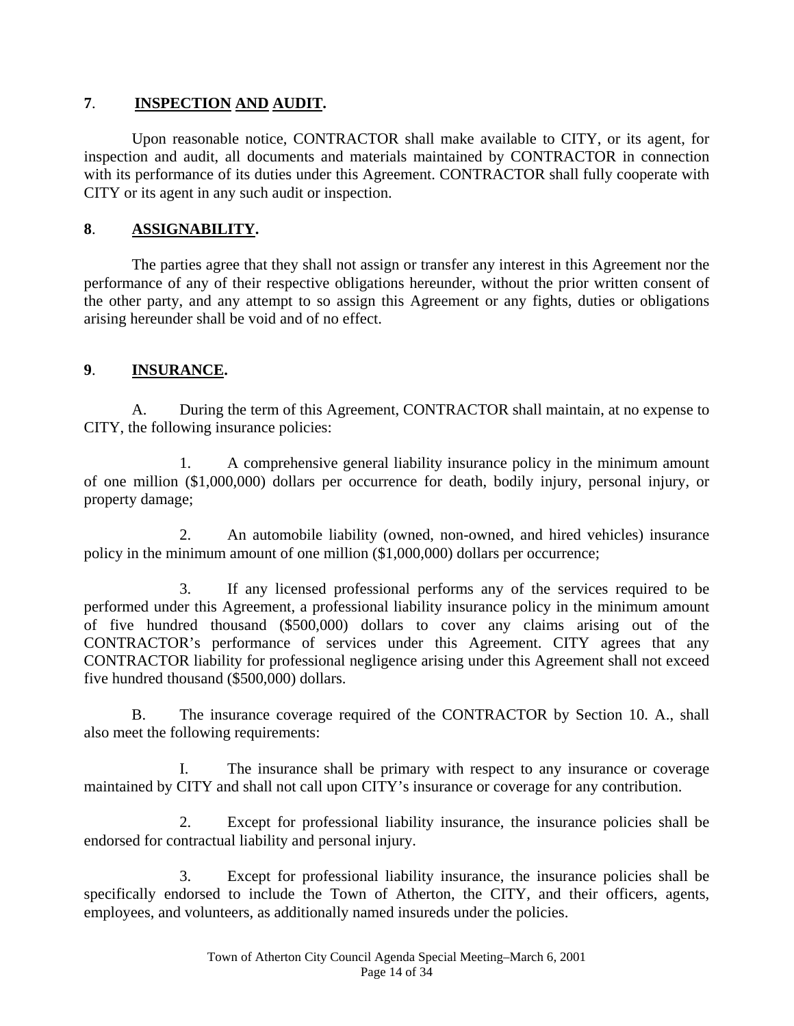#### **7**. **INSPECTION AND AUDIT.**

Upon reasonable notice, CONTRACTOR shall make available to CITY, or its agent, for inspection and audit, all documents and materials maintained by CONTRACTOR in connection with its performance of its duties under this Agreement. CONTRACTOR shall fully cooperate with CITY or its agent in any such audit or inspection.

## **8**. **ASSIGNABILITY.**

The parties agree that they shall not assign or transfer any interest in this Agreement nor the performance of any of their respective obligations hereunder, without the prior written consent of the other party, and any attempt to so assign this Agreement or any fights, duties or obligations arising hereunder shall be void and of no effect.

## **9**. **INSURANCE.**

A. During the term of this Agreement, CONTRACTOR shall maintain, at no expense to CITY, the following insurance policies:

1. A comprehensive general liability insurance policy in the minimum amount of one million (\$1,000,000) dollars per occurrence for death, bodily injury, personal injury, or property damage;

2. An automobile liability (owned, non-owned, and hired vehicles) insurance policy in the minimum amount of one million (\$1,000,000) dollars per occurrence;

3. If any licensed professional performs any of the services required to be performed under this Agreement, a professional liability insurance policy in the minimum amount of five hundred thousand (\$500,000) dollars to cover any claims arising out of the CONTRACTOR's performance of services under this Agreement. CITY agrees that any CONTRACTOR liability for professional negligence arising under this Agreement shall not exceed five hundred thousand (\$500,000) dollars.

B. The insurance coverage required of the CONTRACTOR by Section 10. A., shall also meet the following requirements:

I. The insurance shall be primary with respect to any insurance or coverage maintained by CITY and shall not call upon CITY's insurance or coverage for any contribution.

2. Except for professional liability insurance, the insurance policies shall be endorsed for contractual liability and personal injury.

3. Except for professional liability insurance, the insurance policies shall be specifically endorsed to include the Town of Atherton, the CITY, and their officers, agents, employees, and volunteers, as additionally named insureds under the policies.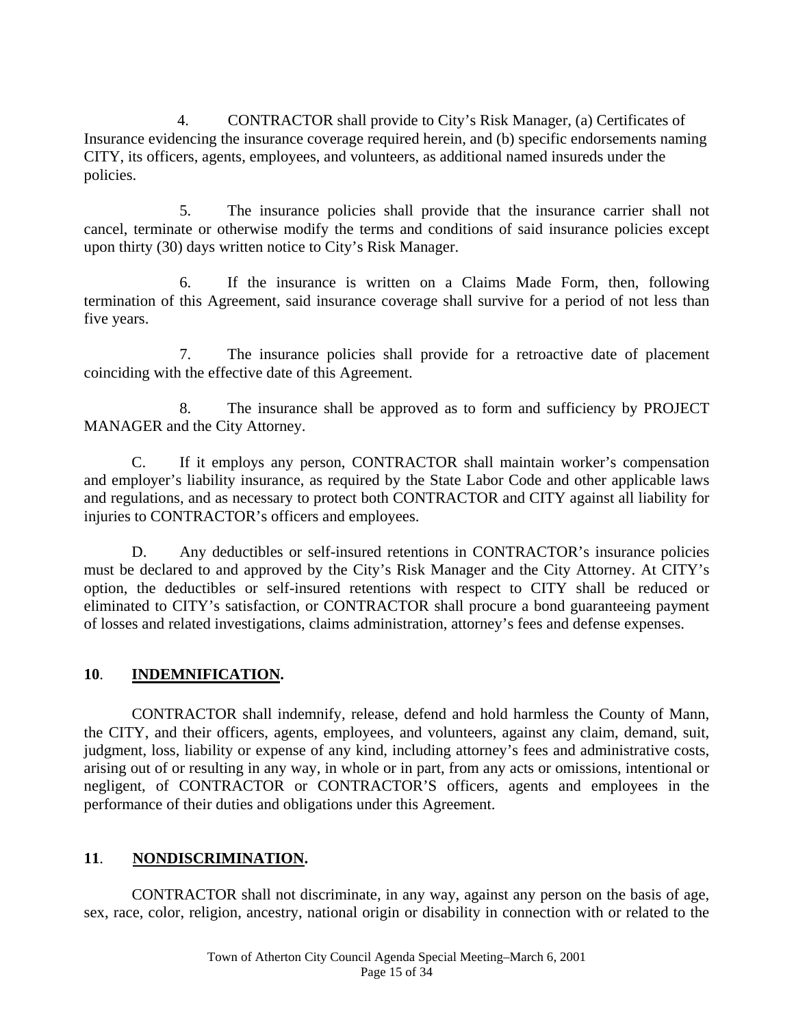4. CONTRACTOR shall provide to City's Risk Manager, (a) Certificates of Insurance evidencing the insurance coverage required herein, and (b) specific endorsements naming CITY, its officers, agents, employees, and volunteers, as additional named insureds under the policies.

5. The insurance policies shall provide that the insurance carrier shall not cancel, terminate or otherwise modify the terms and conditions of said insurance policies except upon thirty (30) days written notice to City's Risk Manager.

6. If the insurance is written on a Claims Made Form, then, following termination of this Agreement, said insurance coverage shall survive for a period of not less than five years.

7. The insurance policies shall provide for a retroactive date of placement coinciding with the effective date of this Agreement.

8. The insurance shall be approved as to form and sufficiency by PROJECT MANAGER and the City Attorney.

C. If it employs any person, CONTRACTOR shall maintain worker's compensation and employer's liability insurance, as required by the State Labor Code and other applicable laws and regulations, and as necessary to protect both CONTRACTOR and CITY against all liability for injuries to CONTRACTOR's officers and employees.

D. Any deductibles or self-insured retentions in CONTRACTOR's insurance policies must be declared to and approved by the City's Risk Manager and the City Attorney. At CITY's option, the deductibles or self-insured retentions with respect to CITY shall be reduced or eliminated to CITY's satisfaction, or CONTRACTOR shall procure a bond guaranteeing payment of losses and related investigations, claims administration, attorney's fees and defense expenses.

#### **10**. **INDEMNIFICATION.**

CONTRACTOR shall indemnify, release, defend and hold harmless the County of Mann, the CITY, and their officers, agents, employees, and volunteers, against any claim, demand, suit, judgment, loss, liability or expense of any kind, including attorney's fees and administrative costs, arising out of or resulting in any way, in whole or in part, from any acts or omissions, intentional or negligent, of CONTRACTOR or CONTRACTOR'S officers, agents and employees in the performance of their duties and obligations under this Agreement.

## **11**. **NONDISCRIMINATION.**

CONTRACTOR shall not discriminate, in any way, against any person on the basis of age, sex, race, color, religion, ancestry, national origin or disability in connection with or related to the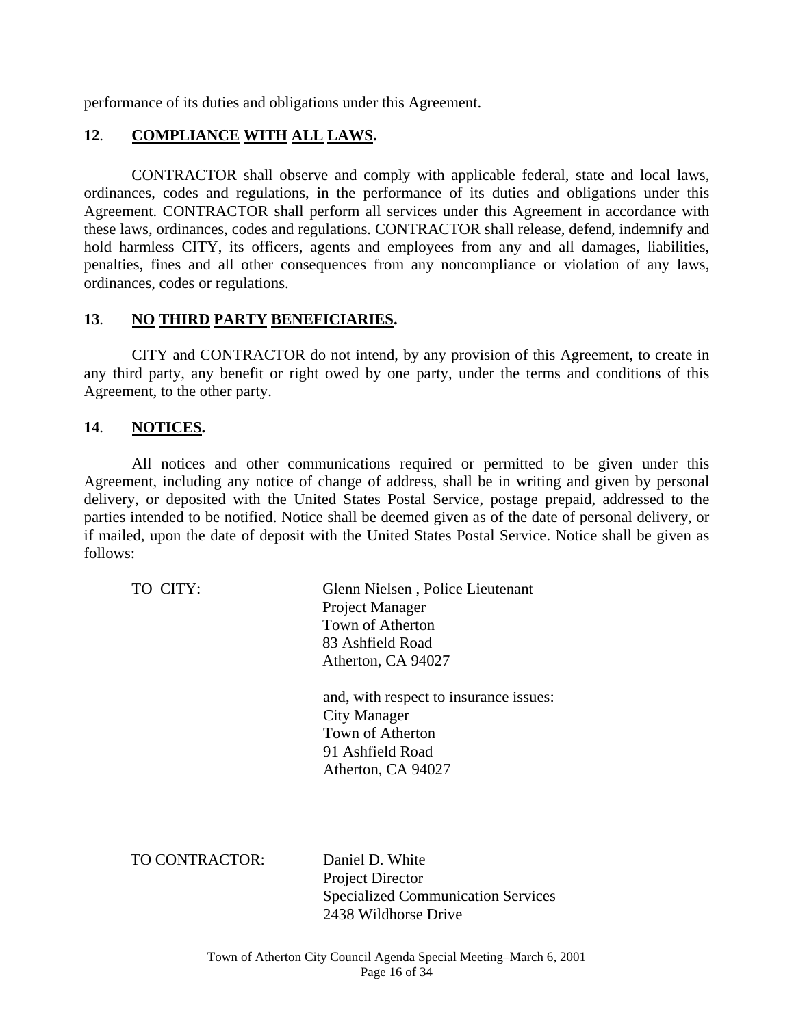performance of its duties and obligations under this Agreement.

#### **12**. **COMPLIANCE WITH ALL LAWS.**

CONTRACTOR shall observe and comply with applicable federal, state and local laws, ordinances, codes and regulations, in the performance of its duties and obligations under this Agreement. CONTRACTOR shall perform all services under this Agreement in accordance with these laws, ordinances, codes and regulations. CONTRACTOR shall release, defend, indemnify and hold harmless CITY, its officers, agents and employees from any and all damages, liabilities, penalties, fines and all other consequences from any noncompliance or violation of any laws, ordinances, codes or regulations.

#### **13**. **NO THIRD PARTY BENEFICIARIES.**

CITY and CONTRACTOR do not intend, by any provision of this Agreement, to create in any third party, any benefit or right owed by one party, under the terms and conditions of this Agreement, to the other party.

#### **14**. **NOTICES.**

All notices and other communications required or permitted to be given under this Agreement, including any notice of change of address, shall be in writing and given by personal delivery, or deposited with the United States Postal Service, postage prepaid, addressed to the parties intended to be notified. Notice shall be deemed given as of the date of personal delivery, or if mailed, upon the date of deposit with the United States Postal Service. Notice shall be given as follows:

 TO CITY: Glenn Nielsen , Police Lieutenant Project Manager Town of Atherton 83 Ashfield Road Atherton, CA 94027

> and, with respect to insurance issues: City Manager Town of Atherton 91 Ashfield Road Atherton, CA 94027

TO CONTRACTOR:Daniel D. White

 Project Director Specialized Communication Services 2438 Wildhorse Drive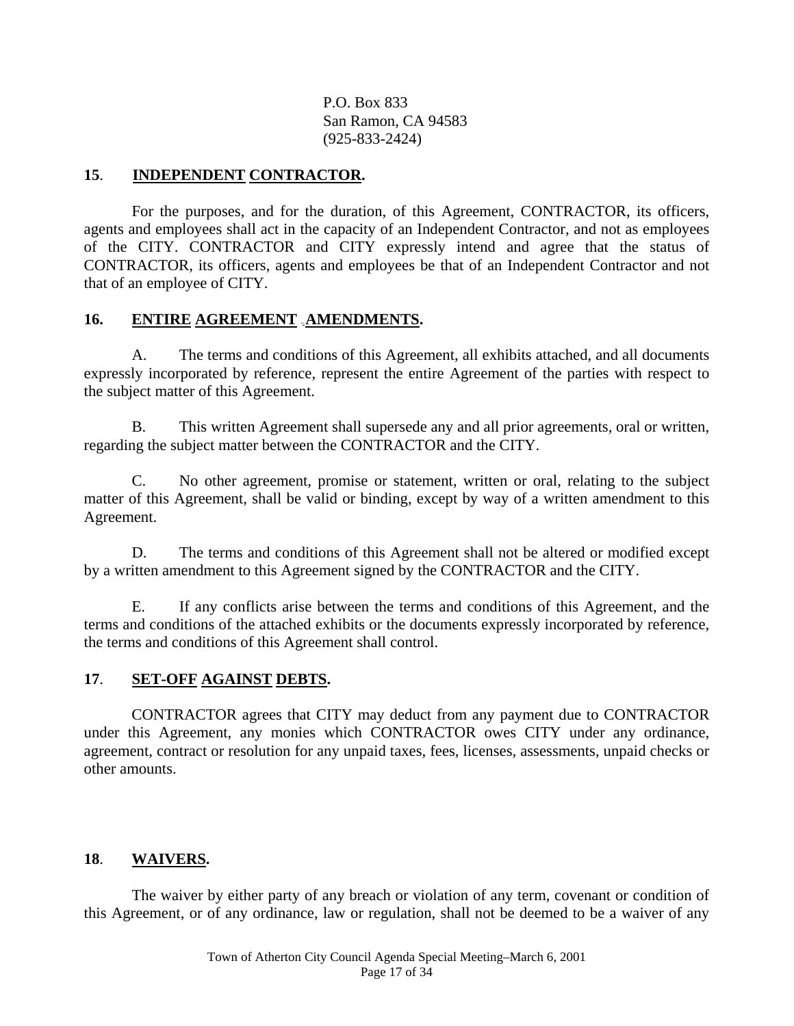P.O. Box 833 San Ramon, CA 94583 (925-833-2424)

#### **15**. **INDEPENDENT CONTRACTOR.**

For the purposes, and for the duration, of this Agreement, CONTRACTOR, its officers, agents and employees shall act in the capacity of an Independent Contractor, and not as employees of the CITY. CONTRACTOR and CITY expressly intend and agree that the status of CONTRACTOR, its officers, agents and employees be that of an Independent Contractor and not that of an employee of CITY.

#### 16. ENTIRE AGREEMENT **AMENDMENTS**.

A. The terms and conditions of this Agreement, all exhibits attached, and all documents expressly incorporated by reference, represent the entire Agreement of the parties with respect to the subject matter of this Agreement.

B. This written Agreement shall supersede any and all prior agreements, oral or written, regarding the subject matter between the CONTRACTOR and the CITY.

C. No other agreement, promise or statement, written or oral, relating to the subject matter of this Agreement, shall be valid or binding, except by way of a written amendment to this Agreement.

D. The terms and conditions of this Agreement shall not be altered or modified except by a written amendment to this Agreement signed by the CONTRACTOR and the CITY.

E. If any conflicts arise between the terms and conditions of this Agreement, and the terms and conditions of the attached exhibits or the documents expressly incorporated by reference, the terms and conditions of this Agreement shall control.

#### **17**. **SET-OFF AGAINST DEBTS.**

CONTRACTOR agrees that CITY may deduct from any payment due to CONTRACTOR under this Agreement, any monies which CONTRACTOR owes CITY under any ordinance, agreement, contract or resolution for any unpaid taxes, fees, licenses, assessments, unpaid checks or other amounts.

#### **18**. **WAIVERS.**

The waiver by either party of any breach or violation of any term, covenant or condition of this Agreement, or of any ordinance, law or regulation, shall not be deemed to be a waiver of any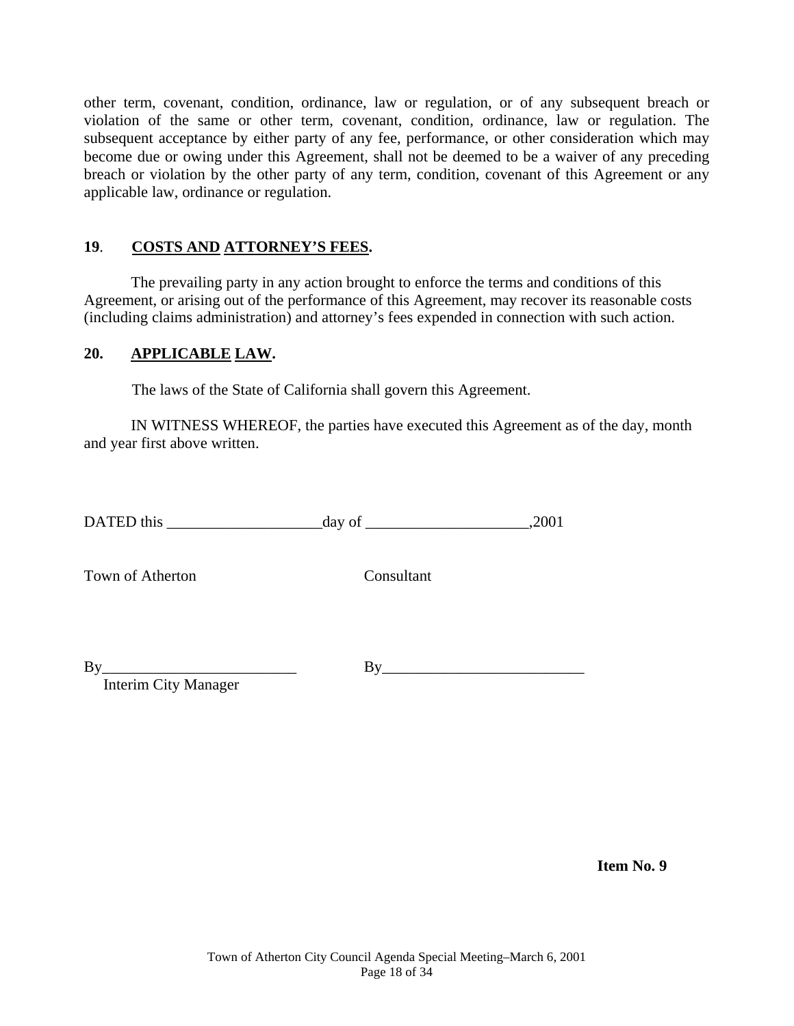other term, covenant, condition, ordinance, law or regulation, or of any subsequent breach or violation of the same or other term, covenant, condition, ordinance, law or regulation. The subsequent acceptance by either party of any fee, performance, or other consideration which may become due or owing under this Agreement, shall not be deemed to be a waiver of any preceding breach or violation by the other party of any term, condition, covenant of this Agreement or any applicable law, ordinance or regulation.

#### **19**. **COSTS AND ATTORNEY'S FEES.**

The prevailing party in any action brought to enforce the terms and conditions of this Agreement, or arising out of the performance of this Agreement, may recover its reasonable costs (including claims administration) and attorney's fees expended in connection with such action.

#### **20. APPLICABLE LAW.**

The laws of the State of California shall govern this Agreement.

IN WITNESS WHEREOF, the parties have executed this Agreement as of the day, month and year first above written.

DATED this \_\_\_\_\_\_\_\_\_\_\_\_\_\_\_\_\_\_\_\_day of \_\_\_\_\_\_\_\_\_\_\_\_\_\_\_\_\_\_\_\_\_,2001

Town of Atherton Consultant

 $By$   $By$ 

Interim City Manager

 **Item No. 9**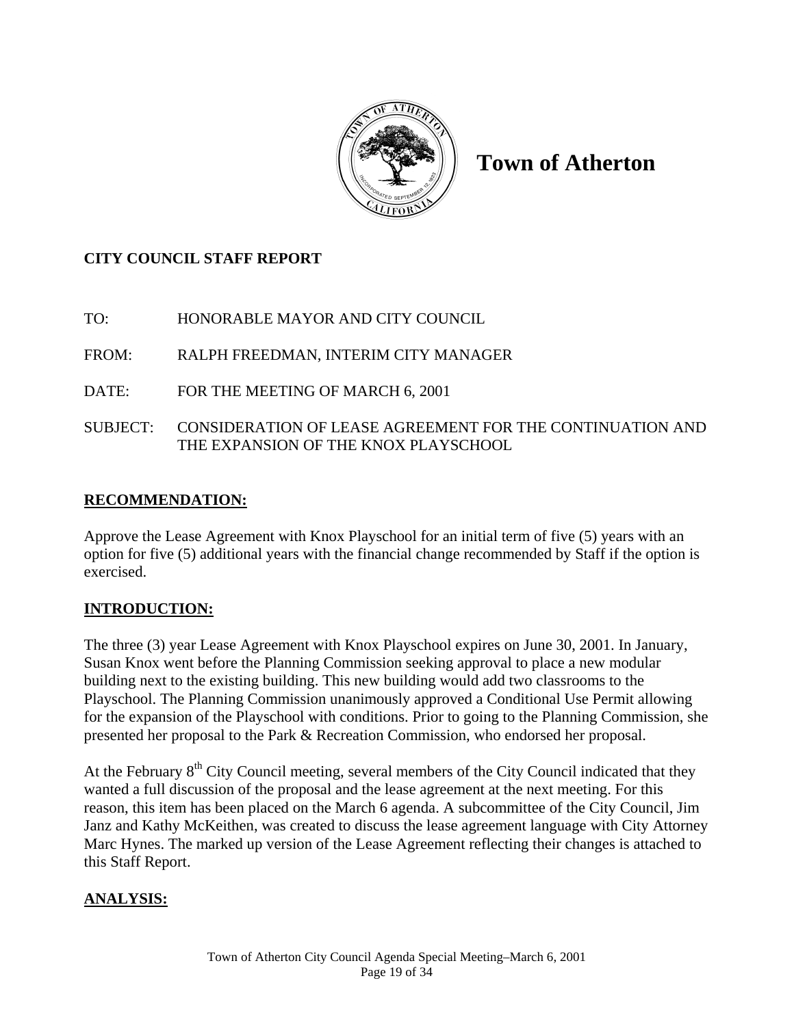

**Town of Atherton** 

## **CITY COUNCIL STAFF REPORT**

TO: HONORABLE MAYOR AND CITY COUNCIL

FROM: RALPH FREEDMAN, INTERIM CITY MANAGER

- DATE: FOR THE MEETING OF MARCH 6, 2001
- SUBJECT: CONSIDERATION OF LEASE AGREEMENT FOR THE CONTINUATION AND THE EXPANSION OF THE KNOX PLAYSCHOOL

## **RECOMMENDATION:**

Approve the Lease Agreement with Knox Playschool for an initial term of five (5) years with an option for five (5) additional years with the financial change recommended by Staff if the option is exercised.

## **INTRODUCTION:**

The three (3) year Lease Agreement with Knox Playschool expires on June 30, 2001. In January, Susan Knox went before the Planning Commission seeking approval to place a new modular building next to the existing building. This new building would add two classrooms to the Playschool. The Planning Commission unanimously approved a Conditional Use Permit allowing for the expansion of the Playschool with conditions. Prior to going to the Planning Commission, she presented her proposal to the Park & Recreation Commission, who endorsed her proposal.

At the February  $8<sup>th</sup>$  City Council meeting, several members of the City Council indicated that they wanted a full discussion of the proposal and the lease agreement at the next meeting. For this reason, this item has been placed on the March 6 agenda. A subcommittee of the City Council, Jim Janz and Kathy McKeithen, was created to discuss the lease agreement language with City Attorney Marc Hynes. The marked up version of the Lease Agreement reflecting their changes is attached to this Staff Report.

## **ANALYSIS:**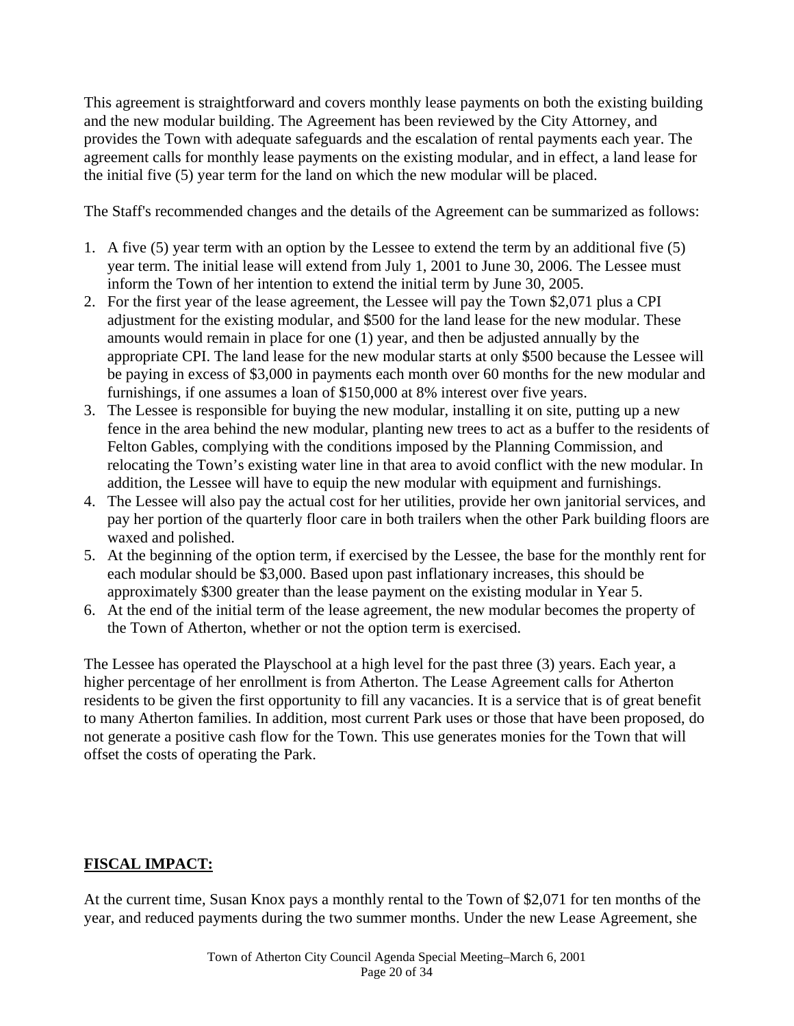This agreement is straightforward and covers monthly lease payments on both the existing building and the new modular building. The Agreement has been reviewed by the City Attorney, and provides the Town with adequate safeguards and the escalation of rental payments each year. The agreement calls for monthly lease payments on the existing modular, and in effect, a land lease for the initial five (5) year term for the land on which the new modular will be placed.

The Staff's recommended changes and the details of the Agreement can be summarized as follows:

- 1. A five (5) year term with an option by the Lessee to extend the term by an additional five (5) year term. The initial lease will extend from July 1, 2001 to June 30, 2006. The Lessee must inform the Town of her intention to extend the initial term by June 30, 2005.
- 2. For the first year of the lease agreement, the Lessee will pay the Town \$2,071 plus a CPI adjustment for the existing modular, and \$500 for the land lease for the new modular. These amounts would remain in place for one (1) year, and then be adjusted annually by the appropriate CPI. The land lease for the new modular starts at only \$500 because the Lessee will be paying in excess of \$3,000 in payments each month over 60 months for the new modular and furnishings, if one assumes a loan of \$150,000 at 8% interest over five years.
- 3. The Lessee is responsible for buying the new modular, installing it on site, putting up a new fence in the area behind the new modular, planting new trees to act as a buffer to the residents of Felton Gables, complying with the conditions imposed by the Planning Commission, and relocating the Town's existing water line in that area to avoid conflict with the new modular. In addition, the Lessee will have to equip the new modular with equipment and furnishings.
- 4. The Lessee will also pay the actual cost for her utilities, provide her own janitorial services, and pay her portion of the quarterly floor care in both trailers when the other Park building floors are waxed and polished.
- 5. At the beginning of the option term, if exercised by the Lessee, the base for the monthly rent for each modular should be \$3,000. Based upon past inflationary increases, this should be approximately \$300 greater than the lease payment on the existing modular in Year 5.
- 6. At the end of the initial term of the lease agreement, the new modular becomes the property of the Town of Atherton, whether or not the option term is exercised.

The Lessee has operated the Playschool at a high level for the past three (3) years. Each year, a higher percentage of her enrollment is from Atherton. The Lease Agreement calls for Atherton residents to be given the first opportunity to fill any vacancies. It is a service that is of great benefit to many Atherton families. In addition, most current Park uses or those that have been proposed, do not generate a positive cash flow for the Town. This use generates monies for the Town that will offset the costs of operating the Park.

## **FISCAL IMPACT:**

At the current time, Susan Knox pays a monthly rental to the Town of \$2,071 for ten months of the year, and reduced payments during the two summer months. Under the new Lease Agreement, she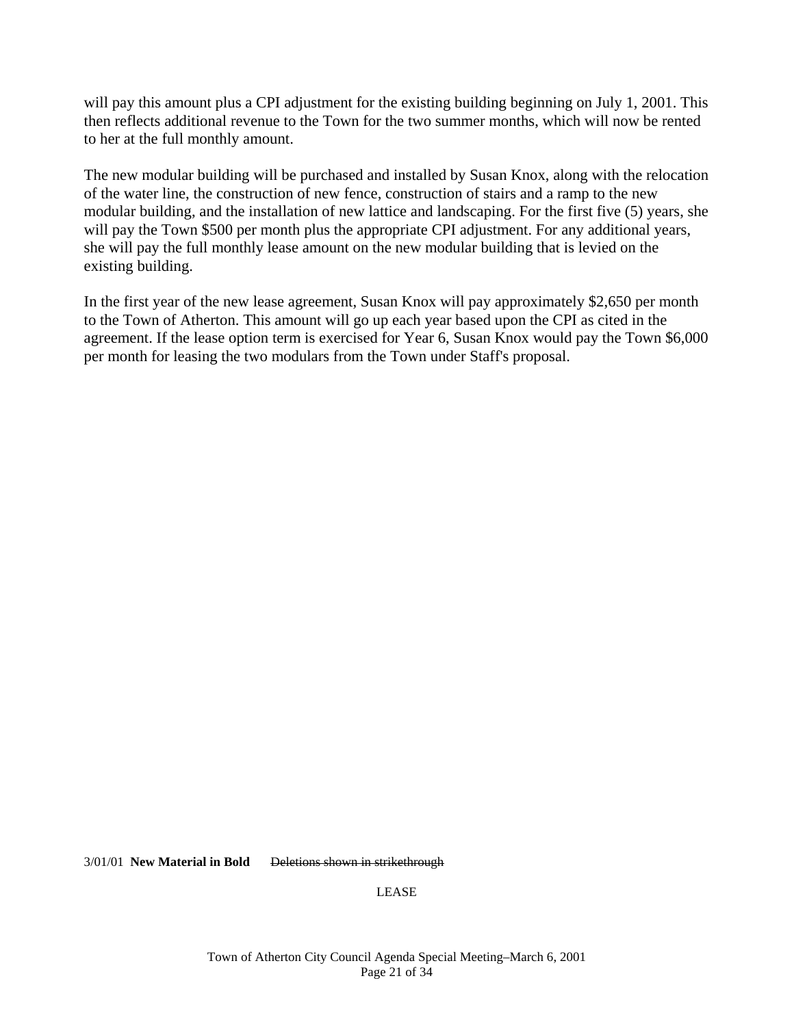will pay this amount plus a CPI adjustment for the existing building beginning on July 1, 2001. This then reflects additional revenue to the Town for the two summer months, which will now be rented to her at the full monthly amount.

The new modular building will be purchased and installed by Susan Knox, along with the relocation of the water line, the construction of new fence, construction of stairs and a ramp to the new modular building, and the installation of new lattice and landscaping. For the first five (5) years, she will pay the Town \$500 per month plus the appropriate CPI adjustment. For any additional years, she will pay the full monthly lease amount on the new modular building that is levied on the existing building.

In the first year of the new lease agreement, Susan Knox will pay approximately \$2,650 per month to the Town of Atherton. This amount will go up each year based upon the CPI as cited in the agreement. If the lease option term is exercised for Year 6, Susan Knox would pay the Town \$6,000 per month for leasing the two modulars from the Town under Staff's proposal.

3/01/01 **New Material in Bold** Deletions shown in strikethrough

LEASE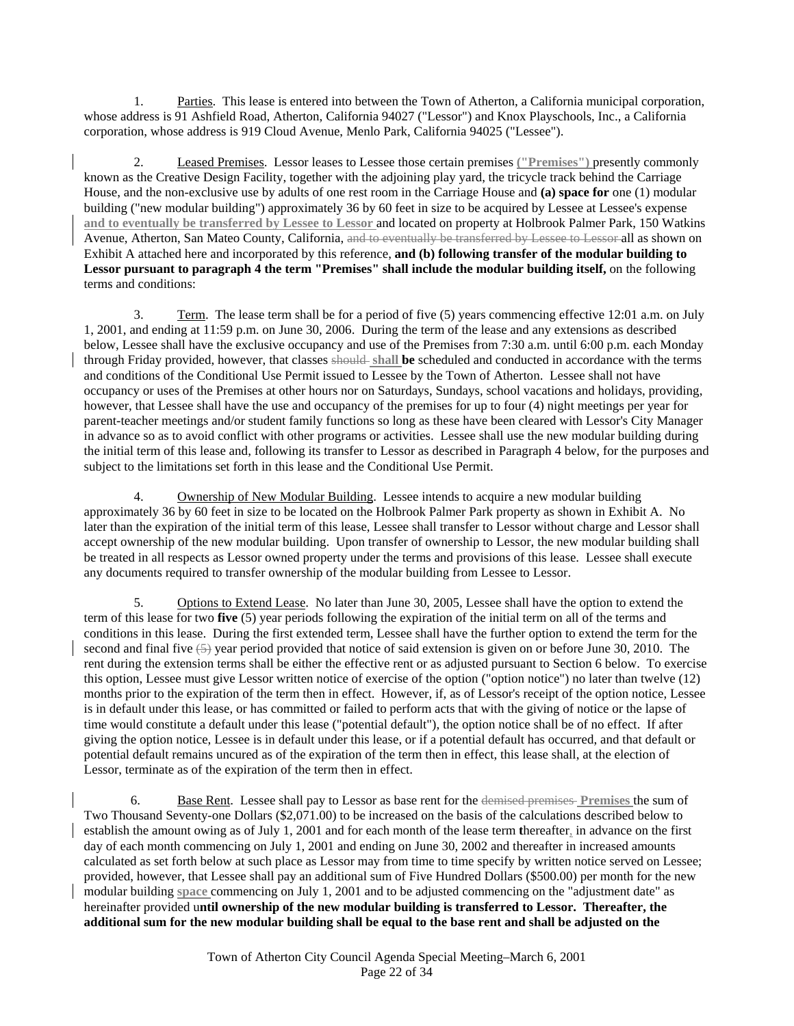1. Parties. This lease is entered into between the Town of Atherton, a California municipal corporation, whose address is 91 Ashfield Road, Atherton, California 94027 ("Lessor") and Knox Playschools, Inc., a California corporation, whose address is 919 Cloud Avenue, Menlo Park, California 94025 ("Lessee").

 2. Leased Premises. Lessor leases to Lessee those certain premises **("Premises")** presently commonly known as the Creative Design Facility, together with the adjoining play yard, the tricycle track behind the Carriage House, and the non-exclusive use by adults of one rest room in the Carriage House and **(a) space for** one (1) modular building ("new modular building") approximately 36 by 60 feet in size to be acquired by Lessee at Lessee's expense **and to eventually be transferred by Lessee to Lessor** and located on property at Holbrook Palmer Park, 150 Watkins Avenue, Atherton, San Mateo County, California, and to eventually be transferred by Lessee to Lessor all as shown on Exhibit A attached here and incorporated by this reference, **and (b) following transfer of the modular building to**  Lessor pursuant to paragraph 4 the term "Premises" shall include the modular building itself, on the following terms and conditions:

 3. Term. The lease term shall be for a period of five (5) years commencing effective 12:01 a.m. on July 1, 2001, and ending at 11:59 p.m. on June 30, 2006. During the term of the lease and any extensions as described below, Lessee shall have the exclusive occupancy and use of the Premises from 7:30 a.m. until 6:00 p.m. each Monday through Friday provided, however, that classes should **shall be** scheduled and conducted in accordance with the terms and conditions of the Conditional Use Permit issued to Lessee by the Town of Atherton. Lessee shall not have occupancy or uses of the Premises at other hours nor on Saturdays, Sundays, school vacations and holidays, providing, however, that Lessee shall have the use and occupancy of the premises for up to four (4) night meetings per year for parent-teacher meetings and/or student family functions so long as these have been cleared with Lessor's City Manager in advance so as to avoid conflict with other programs or activities. Lessee shall use the new modular building during the initial term of this lease and, following its transfer to Lessor as described in Paragraph 4 below, for the purposes and subject to the limitations set forth in this lease and the Conditional Use Permit.

4. Ownership of New Modular Building. Lessee intends to acquire a new modular building approximately 36 by 60 feet in size to be located on the Holbrook Palmer Park property as shown in Exhibit A. No later than the expiration of the initial term of this lease, Lessee shall transfer to Lessor without charge and Lessor shall accept ownership of the new modular building. Upon transfer of ownership to Lessor, the new modular building shall be treated in all respects as Lessor owned property under the terms and provisions of this lease. Lessee shall execute any documents required to transfer ownership of the modular building from Lessee to Lessor.

 5. Options to Extend Lease. No later than June 30, 2005, Lessee shall have the option to extend the term of this lease for two **five** (5) year periods following the expiration of the initial term on all of the terms and conditions in this lease. During the first extended term, Lessee shall have the further option to extend the term for the second and final five  $(5)$  year period provided that notice of said extension is given on or before June 30, 2010. The rent during the extension terms shall be either the effective rent or as adjusted pursuant to Section 6 below. To exercise this option, Lessee must give Lessor written notice of exercise of the option ("option notice") no later than twelve (12) months prior to the expiration of the term then in effect. However, if, as of Lessor's receipt of the option notice, Lessee is in default under this lease, or has committed or failed to perform acts that with the giving of notice or the lapse of time would constitute a default under this lease ("potential default"), the option notice shall be of no effect. If after giving the option notice, Lessee is in default under this lease, or if a potential default has occurred, and that default or potential default remains uncured as of the expiration of the term then in effect, this lease shall, at the election of Lessor, terminate as of the expiration of the term then in effect.

 6. Base Rent. Lessee shall pay to Lessor as base rent for the demised premises **Premises** the sum of Two Thousand Seventy-one Dollars (\$2,071.00) to be increased on the basis of the calculations described below to establish the amount owing as of July 1, 2001 and for each month of the lease term **t**hereafter, in advance on the first day of each month commencing on July 1, 2001 and ending on June 30, 2002 and thereafter in increased amounts calculated as set forth below at such place as Lessor may from time to time specify by written notice served on Lessee; provided, however, that Lessee shall pay an additional sum of Five Hundred Dollars (\$500.00) per month for the new modular building **space** commencing on July 1, 2001 and to be adjusted commencing on the "adjustment date" as hereinafter provided u**ntil ownership of the new modular building is transferred to Lessor. Thereafter, the additional sum for the new modular building shall be equal to the base rent and shall be adjusted on the**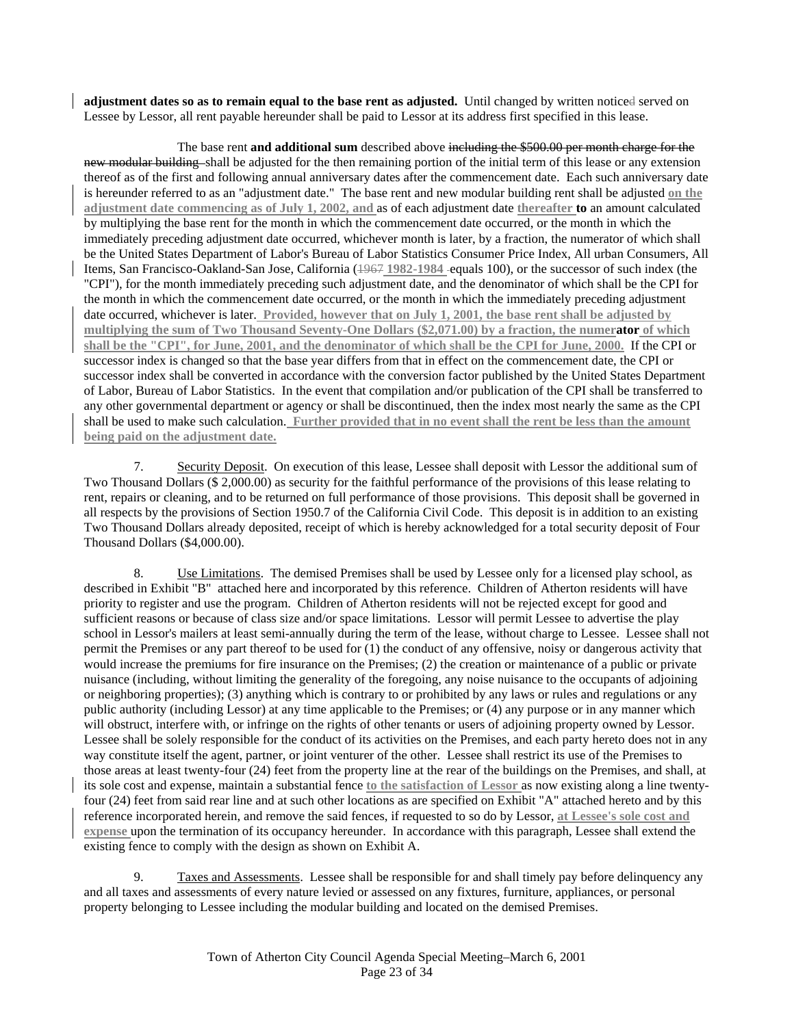**adjustment dates so as to remain equal to the base rent as adjusted.** Until changed by written noticed served on Lessee by Lessor, all rent payable hereunder shall be paid to Lessor at its address first specified in this lease.

 The base rent **and additional sum** described above including the \$500.00 per month charge for the new modular building shall be adjusted for the then remaining portion of the initial term of this lease or any extension thereof as of the first and following annual anniversary dates after the commencement date. Each such anniversary date is hereunder referred to as an "adjustment date." The base rent and new modular building rent shall be adjusted **on the adjustment date commencing as of July 1, 2002, and** as of each adjustment date **thereafter to** an amount calculated by multiplying the base rent for the month in which the commencement date occurred, or the month in which the immediately preceding adjustment date occurred, whichever month is later, by a fraction, the numerator of which shall be the United States Department of Labor's Bureau of Labor Statistics Consumer Price Index, All urban Consumers, All Items, San Francisco-Oakland-San Jose, California (1967 **1982-1984** equals 100), or the successor of such index (the "CPI"), for the month immediately preceding such adjustment date, and the denominator of which shall be the CPI for the month in which the commencement date occurred, or the month in which the immediately preceding adjustment date occurred, whichever is later. **Provided, however that on July 1, 2001, the base rent shall be adjusted by multiplying the sum of Two Thousand Seventy-One Dollars (\$2,071.00) by a fraction, the numerator of which shall be the "CPI", for June, 2001, and the denominator of which shall be the CPI for June, 2000.** If the CPI or successor index is changed so that the base year differs from that in effect on the commencement date, the CPI or successor index shall be converted in accordance with the conversion factor published by the United States Department of Labor, Bureau of Labor Statistics. In the event that compilation and/or publication of the CPI shall be transferred to any other governmental department or agency or shall be discontinued, then the index most nearly the same as the CPI shall be used to make such calculation. **Further provided that in no event shall the rent be less than the amount being paid on the adjustment date.**

 7. Security Deposit. On execution of this lease, Lessee shall deposit with Lessor the additional sum of Two Thousand Dollars (\$ 2,000.00) as security for the faithful performance of the provisions of this lease relating to rent, repairs or cleaning, and to be returned on full performance of those provisions. This deposit shall be governed in all respects by the provisions of Section 1950.7 of the California Civil Code. This deposit is in addition to an existing Two Thousand Dollars already deposited, receipt of which is hereby acknowledged for a total security deposit of Four Thousand Dollars (\$4,000.00).

 8. Use Limitations. The demised Premises shall be used by Lessee only for a licensed play school, as described in Exhibit "B" attached here and incorporated by this reference. Children of Atherton residents will have priority to register and use the program. Children of Atherton residents will not be rejected except for good and sufficient reasons or because of class size and/or space limitations. Lessor will permit Lessee to advertise the play school in Lessor's mailers at least semi-annually during the term of the lease, without charge to Lessee. Lessee shall not permit the Premises or any part thereof to be used for (1) the conduct of any offensive, noisy or dangerous activity that would increase the premiums for fire insurance on the Premises; (2) the creation or maintenance of a public or private nuisance (including, without limiting the generality of the foregoing, any noise nuisance to the occupants of adjoining or neighboring properties); (3) anything which is contrary to or prohibited by any laws or rules and regulations or any public authority (including Lessor) at any time applicable to the Premises; or (4) any purpose or in any manner which will obstruct, interfere with, or infringe on the rights of other tenants or users of adjoining property owned by Lessor. Lessee shall be solely responsible for the conduct of its activities on the Premises, and each party hereto does not in any way constitute itself the agent, partner, or joint venturer of the other. Lessee shall restrict its use of the Premises to those areas at least twenty-four (24) feet from the property line at the rear of the buildings on the Premises, and shall, at its sole cost and expense, maintain a substantial fence **to the satisfaction of Lessor** as now existing along a line twentyfour (24) feet from said rear line and at such other locations as are specified on Exhibit "A" attached hereto and by this reference incorporated herein, and remove the said fences, if requested to so do by Lessor, **at Lessee's sole cost and expense** upon the termination of its occupancy hereunder. In accordance with this paragraph, Lessee shall extend the existing fence to comply with the design as shown on Exhibit A.

 9. Taxes and Assessments. Lessee shall be responsible for and shall timely pay before delinquency any and all taxes and assessments of every nature levied or assessed on any fixtures, furniture, appliances, or personal property belonging to Lessee including the modular building and located on the demised Premises.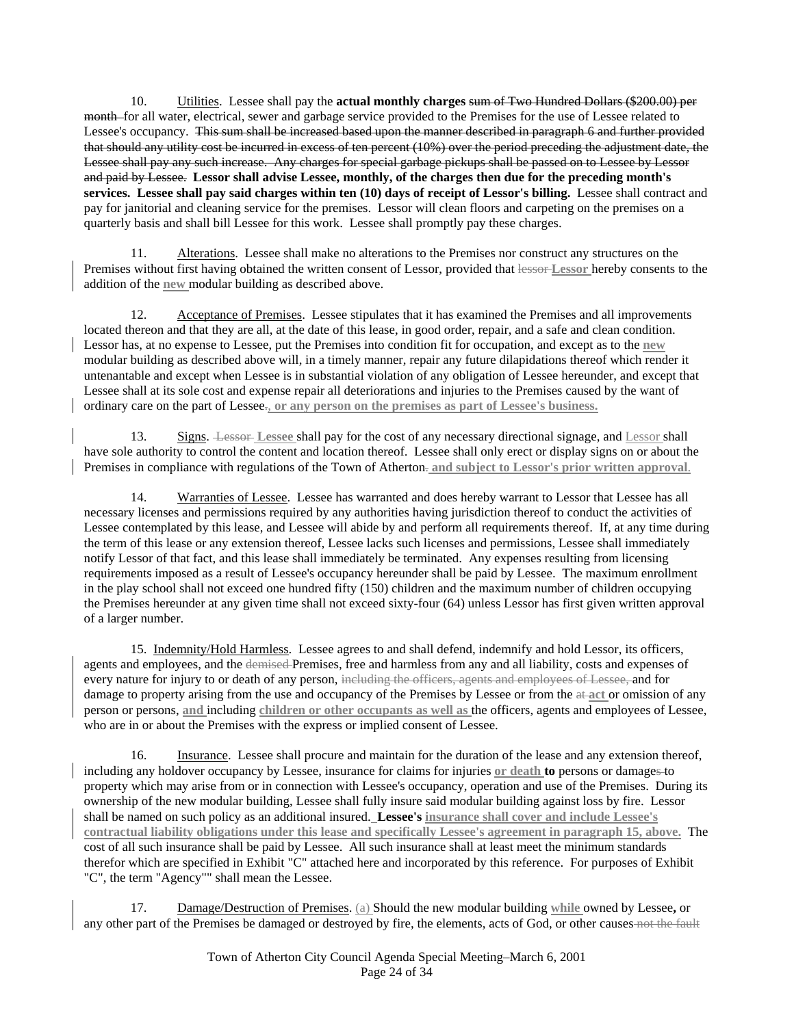10. Utilities. Lessee shall pay the **actual monthly charges** sum of Two Hundred Dollars (\$200.00) per month for all water, electrical, sewer and garbage service provided to the Premises for the use of Lessee related to Lessee's occupancy. This sum shall be increased based upon the manner described in paragraph 6 and further provided that should any utility cost be incurred in excess of ten percent (10%) over the period preceding the adjustment date, the Lessee shall pay any such increase. Any charges for special garbage pickups shall be passed on to Lessee by Lessor and paid by Lessee. **Lessor shall advise Lessee, monthly, of the charges then due for the preceding month's services. Lessee shall pay said charges within ten (10) days of receipt of Lessor's billing.** Lessee shall contract and pay for janitorial and cleaning service for the premises. Lessor will clean floors and carpeting on the premises on a quarterly basis and shall bill Lessee for this work. Lessee shall promptly pay these charges.

 11. Alterations. Lessee shall make no alterations to the Premises nor construct any structures on the Premises without first having obtained the written consent of Lessor, provided that lessor **Lessor** hereby consents to the addition of the **new** modular building as described above.

 12. Acceptance of Premises. Lessee stipulates that it has examined the Premises and all improvements located thereon and that they are all, at the date of this lease, in good order, repair, and a safe and clean condition. Lessor has, at no expense to Lessee, put the Premises into condition fit for occupation, and except as to the **new** modular building as described above will, in a timely manner, repair any future dilapidations thereof which render it untenantable and except when Lessee is in substantial violation of any obligation of Lessee hereunder, and except that Lessee shall at its sole cost and expense repair all deteriorations and injuries to the Premises caused by the want of ordinary care on the part of Lessee., **or any person on the premises as part of Lessee's business.** 

13. Signs. Lessor **Lessee** shall pay for the cost of any necessary directional signage, and Lessor shall have sole authority to control the content and location thereof. Lessee shall only erect or display signs on or about the Premises in compliance with regulations of the Town of Atherton- and subject to Lessor's prior written approval.

14. Warranties of Lessee. Lessee has warranted and does hereby warrant to Lessor that Lessee has all necessary licenses and permissions required by any authorities having jurisdiction thereof to conduct the activities of Lessee contemplated by this lease, and Lessee will abide by and perform all requirements thereof. If, at any time during the term of this lease or any extension thereof, Lessee lacks such licenses and permissions, Lessee shall immediately notify Lessor of that fact, and this lease shall immediately be terminated. Any expenses resulting from licensing requirements imposed as a result of Lessee's occupancy hereunder shall be paid by Lessee. The maximum enrollment in the play school shall not exceed one hundred fifty (150) children and the maximum number of children occupying the Premises hereunder at any given time shall not exceed sixty-four (64) unless Lessor has first given written approval of a larger number.

15. Indemnity/Hold Harmless. Lessee agrees to and shall defend, indemnify and hold Lessor, its officers, agents and employees, and the demised Premises, free and harmless from any and all liability, costs and expenses of every nature for injury to or death of any person, including the officers, agents and employees of Lessee, and for damage to property arising from the use and occupancy of the Premises by Lessee or from the at **act** or omission of any person or persons, **and** including **children or other occupants as well as** the officers, agents and employees of Lessee, who are in or about the Premises with the express or implied consent of Lessee.

 16. Insurance. Lessee shall procure and maintain for the duration of the lease and any extension thereof, including any holdover occupancy by Lessee, insurance for claims for injuries **or death to** persons or damages to property which may arise from or in connection with Lessee's occupancy, operation and use of the Premises. During its ownership of the new modular building, Lessee shall fully insure said modular building against loss by fire. Lessor shall be named on such policy as an additional insured. **Lessee's insurance shall cover and include Lessee's contractual liability obligations under this lease and specifically Lessee's agreement in paragraph 15, above.** The cost of all such insurance shall be paid by Lessee. All such insurance shall at least meet the minimum standards therefor which are specified in Exhibit "C" attached here and incorporated by this reference. For purposes of Exhibit "C", the term "Agency"" shall mean the Lessee.

 17. Damage/Destruction of Premises. (a) Should the new modular building **while** owned by Lessee**,** or any other part of the Premises be damaged or destroyed by fire, the elements, acts of God, or other causes not the fault

> Town of Atherton City Council Agenda Special Meeting–March 6, 2001 Page 24 of 34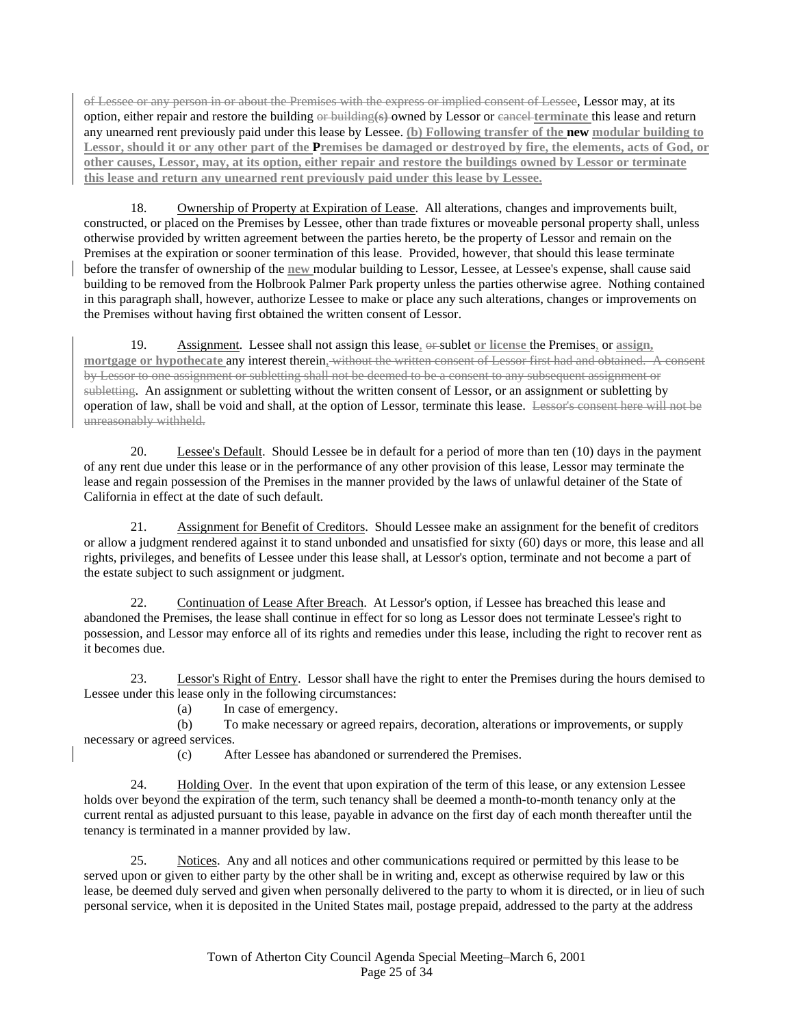of Lessee or any person in or about the Premises with the express or implied consent of Lessee, Lessor may, at its option, either repair and restore the building or building**(s)** owned by Lessor or cancel **terminate** this lease and return any unearned rent previously paid under this lease by Lessee. **(b) Following transfer of the new modular building to Lessor, should it or any other part of the Premises be damaged or destroyed by fire, the elements, acts of God, or other causes, Lessor, may, at its option, either repair and restore the buildings owned by Lessor or terminate this lease and return any unearned rent previously paid under this lease by Lessee.**

18. Ownership of Property at Expiration of Lease. All alterations, changes and improvements built, constructed, or placed on the Premises by Lessee, other than trade fixtures or moveable personal property shall, unless otherwise provided by written agreement between the parties hereto, be the property of Lessor and remain on the Premises at the expiration or sooner termination of this lease. Provided, however, that should this lease terminate before the transfer of ownership of the **new** modular building to Lessor, Lessee, at Lessee's expense, shall cause said building to be removed from the Holbrook Palmer Park property unless the parties otherwise agree. Nothing contained in this paragraph shall, however, authorize Lessee to make or place any such alterations, changes or improvements on the Premises without having first obtained the written consent of Lessor.

 19. Assignment. Lessee shall not assign this lease, or sublet **or license** the Premises, or **assign, mortgage or hypothecate** any interest therein, without the written consent of Lessor first had and obtained. A consent by Lessor to one assignment or subletting shall not be deemed to be a consent to any subsequent assignment or subletting. An assignment or subletting without the written consent of Lessor, or an assignment or subletting by operation of law, shall be void and shall, at the option of Lessor, terminate this lease. Lessor's consent here will not be unreasonably withheld.

 20. Lessee's Default. Should Lessee be in default for a period of more than ten (10) days in the payment of any rent due under this lease or in the performance of any other provision of this lease, Lessor may terminate the lease and regain possession of the Premises in the manner provided by the laws of unlawful detainer of the State of California in effect at the date of such default.

21. Assignment for Benefit of Creditors. Should Lessee make an assignment for the benefit of creditors or allow a judgment rendered against it to stand unbonded and unsatisfied for sixty (60) days or more, this lease and all rights, privileges, and benefits of Lessee under this lease shall, at Lessor's option, terminate and not become a part of the estate subject to such assignment or judgment.

22. Continuation of Lease After Breach. At Lessor's option, if Lessee has breached this lease and abandoned the Premises, the lease shall continue in effect for so long as Lessor does not terminate Lessee's right to possession, and Lessor may enforce all of its rights and remedies under this lease, including the right to recover rent as it becomes due.

 23. Lessor's Right of Entry. Lessor shall have the right to enter the Premises during the hours demised to Lessee under this lease only in the following circumstances:

(a) In case of emergency.

 (b) To make necessary or agreed repairs, decoration, alterations or improvements, or supply necessary or agreed services.

(c) After Lessee has abandoned or surrendered the Premises.

24. Holding Over. In the event that upon expiration of the term of this lease, or any extension Lessee holds over beyond the expiration of the term, such tenancy shall be deemed a month-to-month tenancy only at the current rental as adjusted pursuant to this lease, payable in advance on the first day of each month thereafter until the tenancy is terminated in a manner provided by law.

 25. Notices. Any and all notices and other communications required or permitted by this lease to be served upon or given to either party by the other shall be in writing and, except as otherwise required by law or this lease, be deemed duly served and given when personally delivered to the party to whom it is directed, or in lieu of such personal service, when it is deposited in the United States mail, postage prepaid, addressed to the party at the address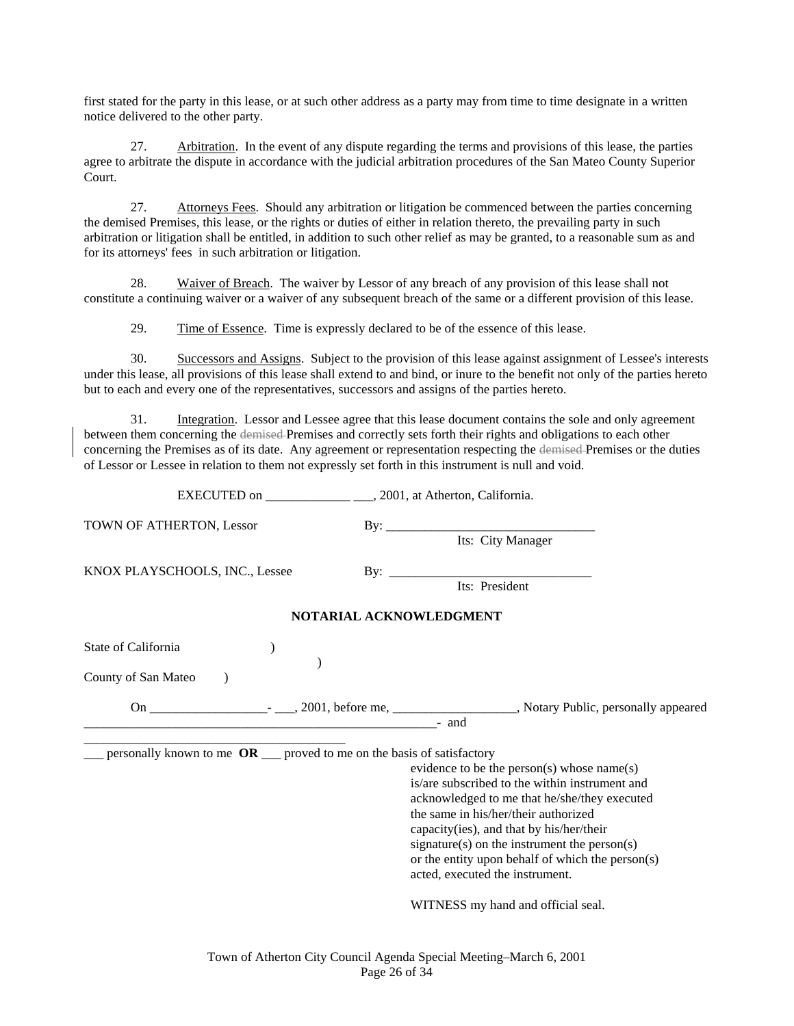first stated for the party in this lease, or at such other address as a party may from time to time designate in a written notice delivered to the other party.

 27. Arbitration. In the event of any dispute regarding the terms and provisions of this lease, the parties agree to arbitrate the dispute in accordance with the judicial arbitration procedures of the San Mateo County Superior Court.

27. Attorneys Fees. Should any arbitration or litigation be commenced between the parties concerning the demised Premises, this lease, or the rights or duties of either in relation thereto, the prevailing party in such arbitration or litigation shall be entitled, in addition to such other relief as may be granted, to a reasonable sum as and for its attorneys' fees in such arbitration or litigation.

 28. Waiver of Breach. The waiver by Lessor of any breach of any provision of this lease shall not constitute a continuing waiver or a waiver of any subsequent breach of the same or a different provision of this lease.

29. Time of Essence. Time is expressly declared to be of the essence of this lease.

EXECUTED on 2001, at Atherton, California.

 30. Successors and Assigns. Subject to the provision of this lease against assignment of Lessee's interests under this lease, all provisions of this lease shall extend to and bind, or inure to the benefit not only of the parties hereto but to each and every one of the representatives, successors and assigns of the parties hereto.

31. Integration. Lessor and Lessee agree that this lease document contains the sole and only agreement between them concerning the demised Premises and correctly sets forth their rights and obligations to each other concerning the Premises as of its date. Any agreement or representation respecting the demised Premises or the duties of Lessor or Lessee in relation to them not expressly set forth in this instrument is null and void.

| TOWN OF ATHERTON, Lessor                                                 |                                                  |
|--------------------------------------------------------------------------|--------------------------------------------------|
|                                                                          |                                                  |
| KNOX PLAYSCHOOLS, INC., Lessee                                           |                                                  |
|                                                                          | Its: President                                   |
|                                                                          | NOTARIAL ACKNOWLEDGMENT                          |
| State of California                                                      |                                                  |
|                                                                          |                                                  |
| County of San Mateo                                                      |                                                  |
|                                                                          |                                                  |
|                                                                          | - and                                            |
| personally known to me $OR$ __ proved to me on the basis of satisfactory |                                                  |
|                                                                          | evidence to be the person(s) whose name(s)       |
|                                                                          | is/are subscribed to the within instrument and   |
|                                                                          | acknowledged to me that he/she/they executed     |
|                                                                          | the same in his/her/their authorized             |
|                                                                          | capacity(ies), and that by his/her/their         |
|                                                                          | signature(s) on the instrument the person(s)     |
|                                                                          | or the entity upon behalf of which the person(s) |
|                                                                          | acted, executed the instrument.                  |
|                                                                          | WITNESS my hand and official seal.               |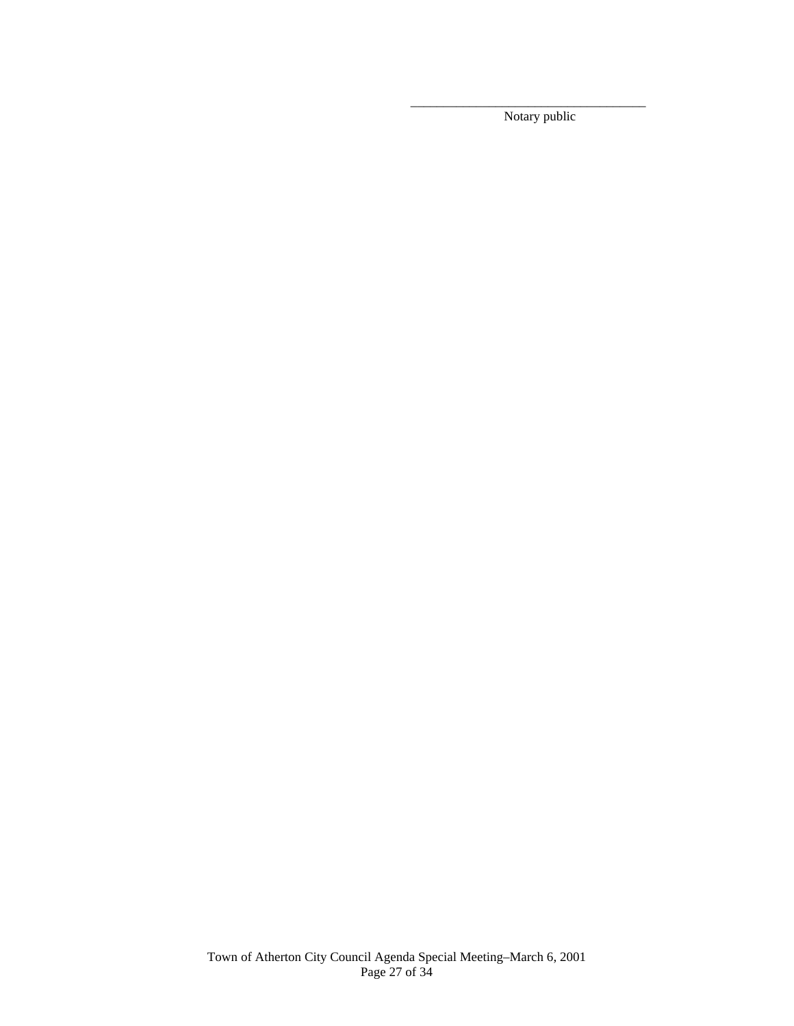Notary public

 $\overline{\phantom{a}}$  , and the contract of the contract of the contract of the contract of the contract of the contract of the contract of the contract of the contract of the contract of the contract of the contract of the contrac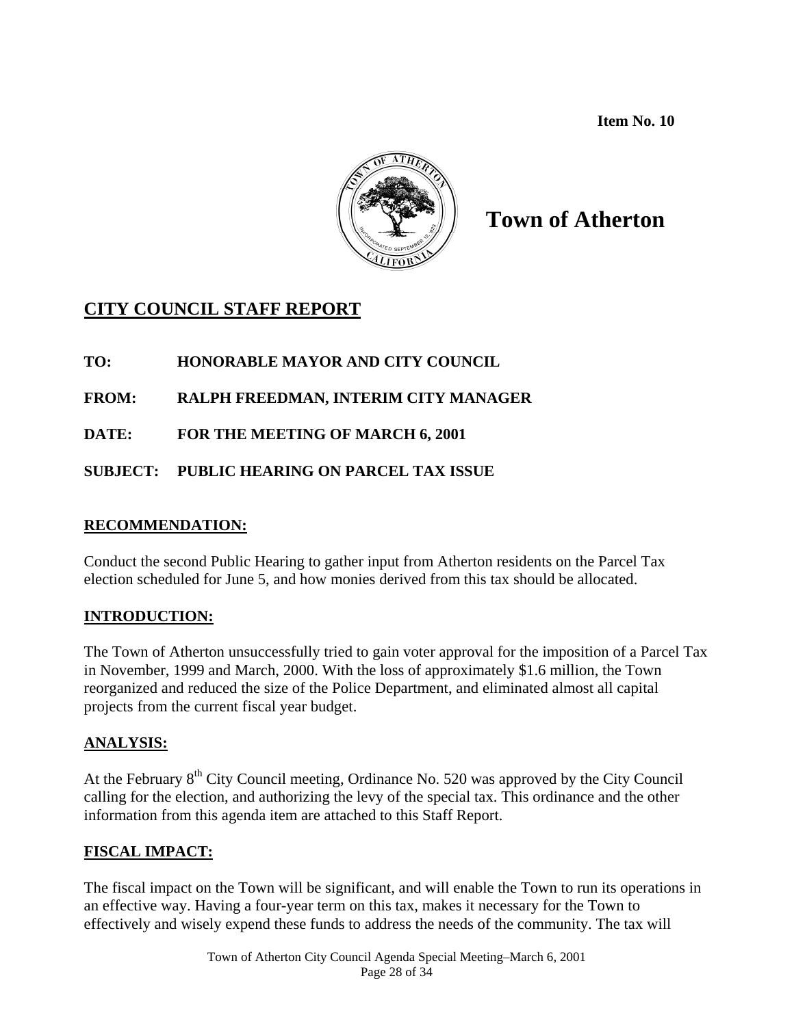**Item No. 10** 



# **Town of Atherton**

# **CITY COUNCIL STAFF REPORT**

## **TO: HONORABLE MAYOR AND CITY COUNCIL**

## **FROM: RALPH FREEDMAN, INTERIM CITY MANAGER**

**DATE: FOR THE MEETING OF MARCH 6, 2001** 

## **SUBJECT: PUBLIC HEARING ON PARCEL TAX ISSUE**

## **RECOMMENDATION:**

Conduct the second Public Hearing to gather input from Atherton residents on the Parcel Tax election scheduled for June 5, and how monies derived from this tax should be allocated.

## **INTRODUCTION:**

The Town of Atherton unsuccessfully tried to gain voter approval for the imposition of a Parcel Tax in November, 1999 and March, 2000. With the loss of approximately \$1.6 million, the Town reorganized and reduced the size of the Police Department, and eliminated almost all capital projects from the current fiscal year budget.

## **ANALYSIS:**

At the February  $8<sup>th</sup>$  City Council meeting, Ordinance No. 520 was approved by the City Council calling for the election, and authorizing the levy of the special tax. This ordinance and the other information from this agenda item are attached to this Staff Report.

## **FISCAL IMPACT:**

The fiscal impact on the Town will be significant, and will enable the Town to run its operations in an effective way. Having a four-year term on this tax, makes it necessary for the Town to effectively and wisely expend these funds to address the needs of the community. The tax will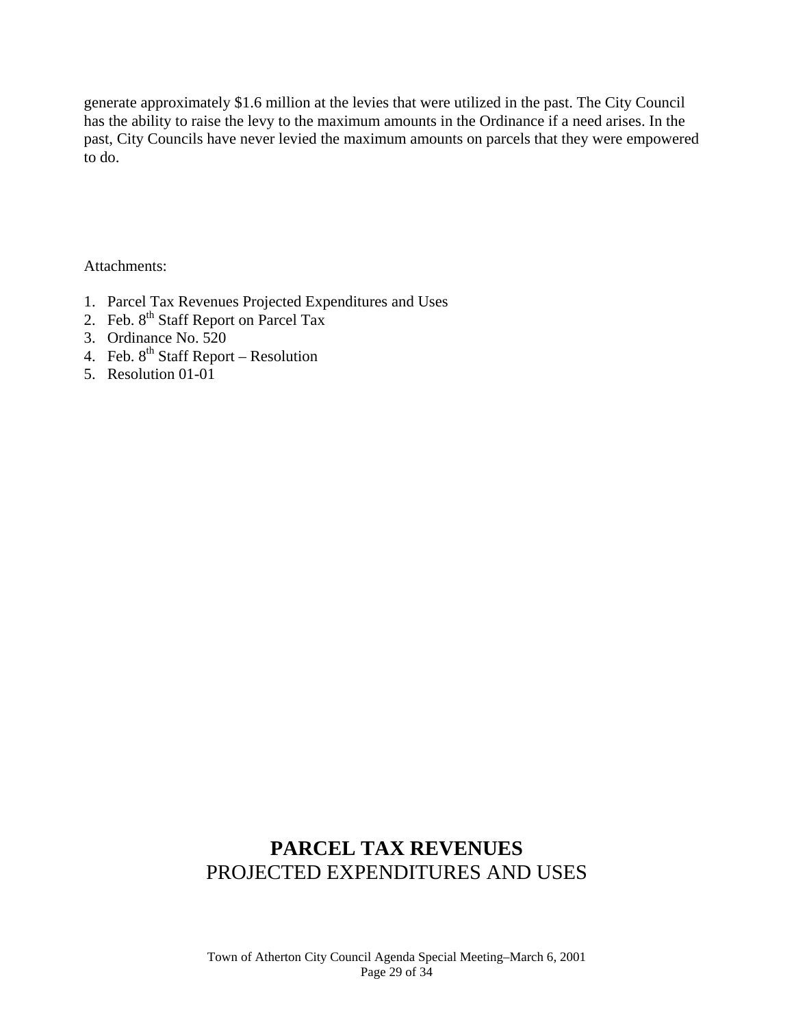generate approximately \$1.6 million at the levies that were utilized in the past. The City Council has the ability to raise the levy to the maximum amounts in the Ordinance if a need arises. In the past, City Councils have never levied the maximum amounts on parcels that they were empowered to do.

Attachments:

- 1. Parcel Tax Revenues Projected Expenditures and Uses
- 2. Feb.  $8^{th}$  Staff Report on Parcel Tax
- 3. Ordinance No. 520
- 4. Feb.  $8^{th}$  Staff Report Resolution
- 5. Resolution 01-01

# **PARCEL TAX REVENUES**  PROJECTED EXPENDITURES AND USES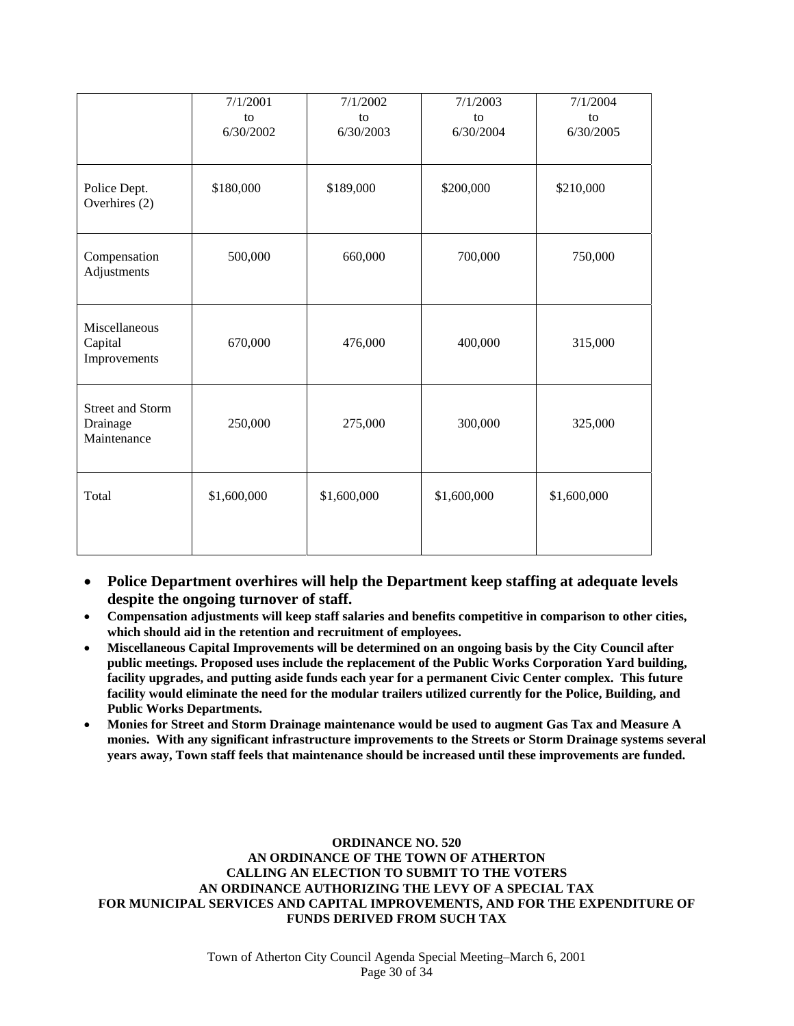|                                                    | 7/1/2001    | 7/1/2002    | 7/1/2003    | 7/1/2004    |
|----------------------------------------------------|-------------|-------------|-------------|-------------|
|                                                    | to          | to          | to          | to          |
|                                                    | 6/30/2002   | 6/30/2003   | 6/30/2004   | 6/30/2005   |
|                                                    |             |             |             |             |
| Police Dept.<br>Overhires (2)                      | \$180,000   | \$189,000   | \$200,000   | \$210,000   |
| Compensation<br>Adjustments                        | 500,000     | 660,000     | 700,000     | 750,000     |
| Miscellaneous<br>Capital<br>Improvements           | 670,000     | 476,000     | 400,000     | 315,000     |
| <b>Street and Storm</b><br>Drainage<br>Maintenance | 250,000     | 275,000     | 300,000     | 325,000     |
| Total                                              | \$1,600,000 | \$1,600,000 | \$1,600,000 | \$1,600,000 |

- **Police Department overhires will help the Department keep staffing at adequate levels despite the ongoing turnover of staff.**
- **Compensation adjustments will keep staff salaries and benefits competitive in comparison to other cities, which should aid in the retention and recruitment of employees.**
- **Miscellaneous Capital Improvements will be determined on an ongoing basis by the City Council after public meetings. Proposed uses include the replacement of the Public Works Corporation Yard building, facility upgrades, and putting aside funds each year for a permanent Civic Center complex. This future facility would eliminate the need for the modular trailers utilized currently for the Police, Building, and Public Works Departments.**
- **Monies for Street and Storm Drainage maintenance would be used to augment Gas Tax and Measure A monies. With any significant infrastructure improvements to the Streets or Storm Drainage systems several years away, Town staff feels that maintenance should be increased until these improvements are funded.**

**ORDINANCE NO. 520 AN ORDINANCE OF THE TOWN OF ATHERTON CALLING AN ELECTION TO SUBMIT TO THE VOTERS AN ORDINANCE AUTHORIZING THE LEVY OF A SPECIAL TAX FOR MUNICIPAL SERVICES AND CAPITAL IMPROVEMENTS, AND FOR THE EXPENDITURE OF FUNDS DERIVED FROM SUCH TAX**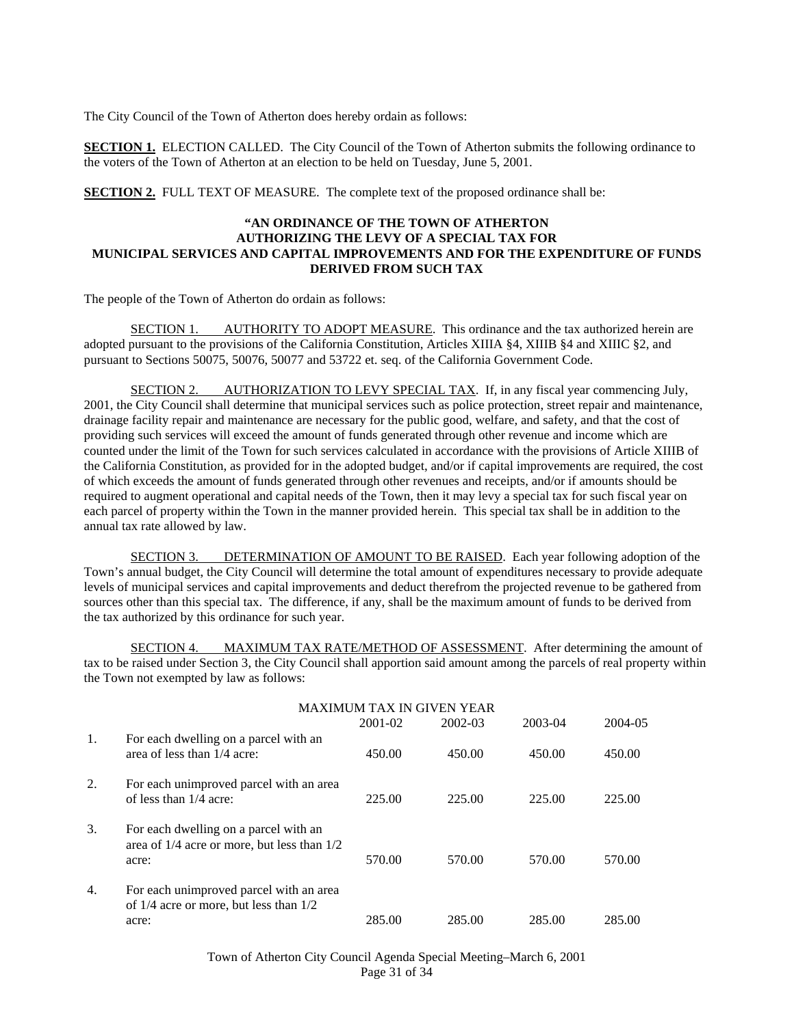The City Council of the Town of Atherton does hereby ordain as follows:

**SECTION 1.** ELECTION CALLED. The City Council of the Town of Atherton submits the following ordinance to the voters of the Town of Atherton at an election to be held on Tuesday, June 5, 2001.

**SECTION 2.** FULL TEXT OF MEASURE. The complete text of the proposed ordinance shall be:

#### **"AN ORDINANCE OF THE TOWN OF ATHERTON AUTHORIZING THE LEVY OF A SPECIAL TAX FOR MUNICIPAL SERVICES AND CAPITAL IMPROVEMENTS AND FOR THE EXPENDITURE OF FUNDS DERIVED FROM SUCH TAX**

The people of the Town of Atherton do ordain as follows:

 SECTION 1. AUTHORITY TO ADOPT MEASURE. This ordinance and the tax authorized herein are adopted pursuant to the provisions of the California Constitution, Articles XIIIA §4, XIIIB §4 and XIIIC §2, and pursuant to Sections 50075, 50076, 50077 and 53722 et. seq. of the California Government Code.

SECTION 2. AUTHORIZATION TO LEVY SPECIAL TAX. If, in any fiscal year commencing July, 2001, the City Council shall determine that municipal services such as police protection, street repair and maintenance, drainage facility repair and maintenance are necessary for the public good, welfare, and safety, and that the cost of providing such services will exceed the amount of funds generated through other revenue and income which are counted under the limit of the Town for such services calculated in accordance with the provisions of Article XIIIB of the California Constitution, as provided for in the adopted budget, and/or if capital improvements are required, the cost of which exceeds the amount of funds generated through other revenues and receipts, and/or if amounts should be required to augment operational and capital needs of the Town, then it may levy a special tax for such fiscal year on each parcel of property within the Town in the manner provided herein. This special tax shall be in addition to the annual tax rate allowed by law.

 SECTION 3. DETERMINATION OF AMOUNT TO BE RAISED. Each year following adoption of the Town's annual budget, the City Council will determine the total amount of expenditures necessary to provide adequate levels of municipal services and capital improvements and deduct therefrom the projected revenue to be gathered from sources other than this special tax. The difference, if any, shall be the maximum amount of funds to be derived from the tax authorized by this ordinance for such year.

SECTION 4. MAXIMUM TAX RATE/METHOD OF ASSESSMENT. After determining the amount of tax to be raised under Section 3, the City Council shall apportion said amount among the parcels of real property within the Town not exempted by law as follows:

|    | <b>MAXIMUM TAX IN GIVEN YEAR</b>                                                                  |         |         |         |         |  |  |  |
|----|---------------------------------------------------------------------------------------------------|---------|---------|---------|---------|--|--|--|
|    |                                                                                                   | 2001-02 | 2002-03 | 2003-04 | 2004-05 |  |  |  |
| 1. | For each dwelling on a parcel with an<br>area of less than 1/4 acre:                              | 450.00  | 450.00  | 450.00  | 450.00  |  |  |  |
| 2. | For each unimproved parcel with an area<br>of less than 1/4 acre:                                 | 225.00  | 225.00  | 225.00  | 225.00  |  |  |  |
| 3. | For each dwelling on a parcel with an<br>area of $1/4$ acre or more, but less than $1/2$<br>acre: | 570.00  | 570.00  | 570.00  | 570.00  |  |  |  |
| 4. | For each unimproved parcel with an area<br>of $1/4$ acre or more, but less than $1/2$<br>acre:    | 285.00  | 285.00  | 285.00  | 285.00  |  |  |  |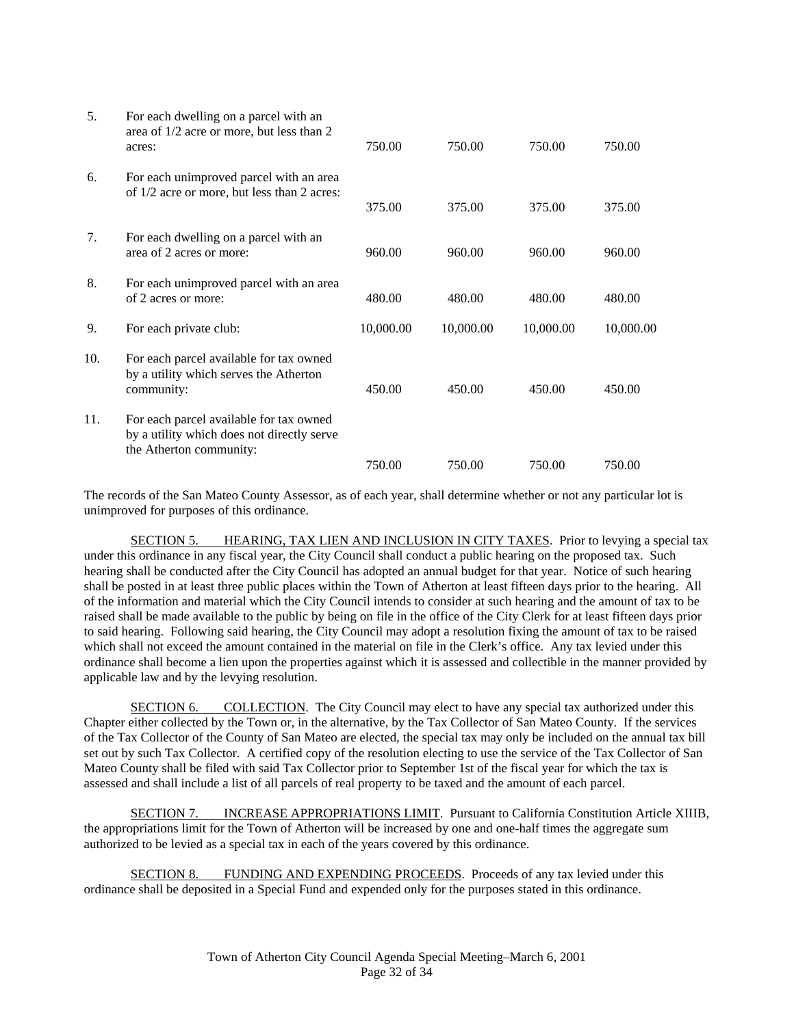| 5.  | For each dwelling on a parcel with an<br>area of 1/2 acre or more, but less than 2<br>acres:                     | 750.00    | 750.00    | 750.00    | 750.00    |
|-----|------------------------------------------------------------------------------------------------------------------|-----------|-----------|-----------|-----------|
| 6.  | For each unimproved parcel with an area<br>of 1/2 acre or more, but less than 2 acres:                           | 375.00    | 375.00    | 375.00    | 375.00    |
| 7.  | For each dwelling on a parcel with an<br>area of 2 acres or more:                                                | 960.00    | 960.00    | 960.00    | 960.00    |
| 8.  | For each unimproved parcel with an area<br>of 2 acres or more:                                                   | 480.00    | 480.00    | 480.00    | 480.00    |
| 9.  | For each private club:                                                                                           | 10,000.00 | 10,000.00 | 10,000.00 | 10,000.00 |
| 10. | For each parcel available for tax owned<br>by a utility which serves the Atherton<br>community:                  | 450.00    | 450.00    | 450.00    | 450.00    |
| 11. | For each parcel available for tax owned<br>by a utility which does not directly serve<br>the Atherton community: |           |           |           |           |
|     |                                                                                                                  | 750.00    | 750.00    | 750.00    | 750.00    |

The records of the San Mateo County Assessor, as of each year, shall determine whether or not any particular lot is unimproved for purposes of this ordinance.

 SECTION 5. HEARING, TAX LIEN AND INCLUSION IN CITY TAXES. Prior to levying a special tax under this ordinance in any fiscal year, the City Council shall conduct a public hearing on the proposed tax. Such hearing shall be conducted after the City Council has adopted an annual budget for that year. Notice of such hearing shall be posted in at least three public places within the Town of Atherton at least fifteen days prior to the hearing. All of the information and material which the City Council intends to consider at such hearing and the amount of tax to be raised shall be made available to the public by being on file in the office of the City Clerk for at least fifteen days prior to said hearing. Following said hearing, the City Council may adopt a resolution fixing the amount of tax to be raised which shall not exceed the amount contained in the material on file in the Clerk's office. Any tax levied under this ordinance shall become a lien upon the properties against which it is assessed and collectible in the manner provided by applicable law and by the levying resolution.

 SECTION 6. COLLECTION. The City Council may elect to have any special tax authorized under this Chapter either collected by the Town or, in the alternative, by the Tax Collector of San Mateo County. If the services of the Tax Collector of the County of San Mateo are elected, the special tax may only be included on the annual tax bill set out by such Tax Collector. A certified copy of the resolution electing to use the service of the Tax Collector of San Mateo County shall be filed with said Tax Collector prior to September 1st of the fiscal year for which the tax is assessed and shall include a list of all parcels of real property to be taxed and the amount of each parcel.

 SECTION 7. INCREASE APPROPRIATIONS LIMIT. Pursuant to California Constitution Article XIIIB, the appropriations limit for the Town of Atherton will be increased by one and one-half times the aggregate sum authorized to be levied as a special tax in each of the years covered by this ordinance.

 SECTION 8. FUNDING AND EXPENDING PROCEEDS. Proceeds of any tax levied under this ordinance shall be deposited in a Special Fund and expended only for the purposes stated in this ordinance.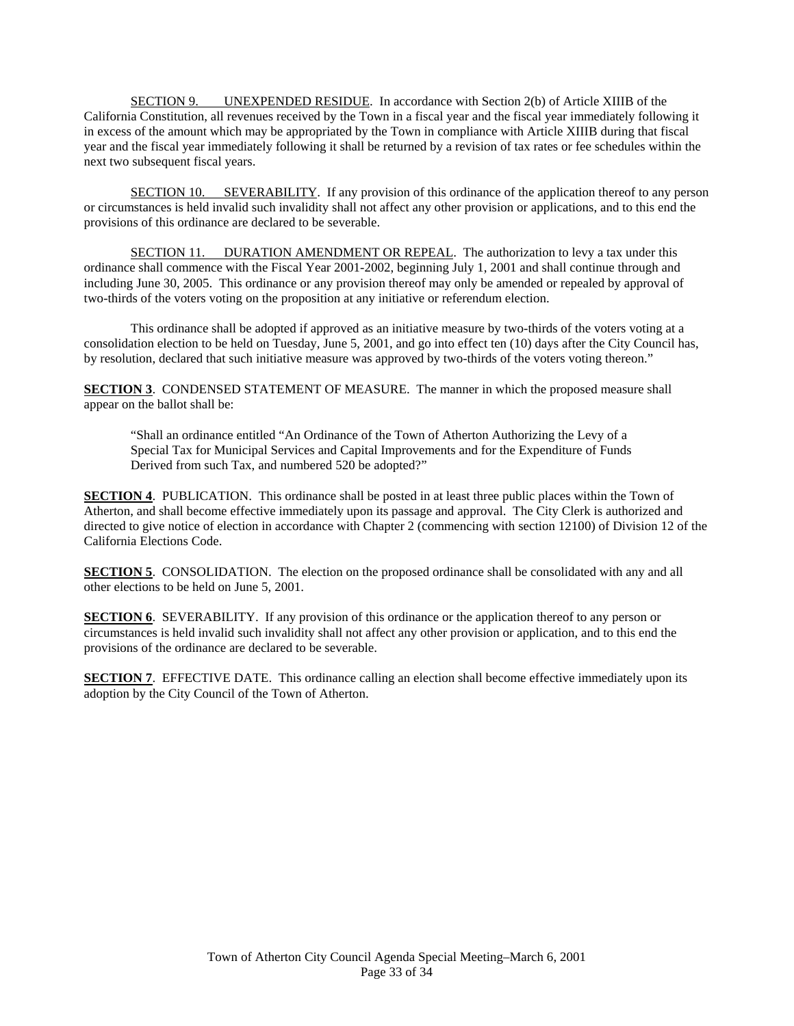SECTION 9. UNEXPENDED RESIDUE. In accordance with Section 2(b) of Article XIIIB of the California Constitution, all revenues received by the Town in a fiscal year and the fiscal year immediately following it in excess of the amount which may be appropriated by the Town in compliance with Article XIIIB during that fiscal year and the fiscal year immediately following it shall be returned by a revision of tax rates or fee schedules within the next two subsequent fiscal years.

 SECTION 10. SEVERABILITY. If any provision of this ordinance of the application thereof to any person or circumstances is held invalid such invalidity shall not affect any other provision or applications, and to this end the provisions of this ordinance are declared to be severable.

SECTION 11. DURATION AMENDMENT OR REPEAL. The authorization to levy a tax under this ordinance shall commence with the Fiscal Year 2001-2002, beginning July 1, 2001 and shall continue through and including June 30, 2005. This ordinance or any provision thereof may only be amended or repealed by approval of two-thirds of the voters voting on the proposition at any initiative or referendum election.

 This ordinance shall be adopted if approved as an initiative measure by two-thirds of the voters voting at a consolidation election to be held on Tuesday, June 5, 2001, and go into effect ten (10) days after the City Council has, by resolution, declared that such initiative measure was approved by two-thirds of the voters voting thereon."

**SECTION 3**. CONDENSED STATEMENT OF MEASURE. The manner in which the proposed measure shall appear on the ballot shall be:

"Shall an ordinance entitled "An Ordinance of the Town of Atherton Authorizing the Levy of a Special Tax for Municipal Services and Capital Improvements and for the Expenditure of Funds Derived from such Tax, and numbered 520 be adopted?"

**SECTION 4.** PUBLICATION. This ordinance shall be posted in at least three public places within the Town of Atherton, and shall become effective immediately upon its passage and approval. The City Clerk is authorized and directed to give notice of election in accordance with Chapter 2 (commencing with section 12100) of Division 12 of the California Elections Code.

**SECTION 5.** CONSOLIDATION. The election on the proposed ordinance shall be consolidated with any and all other elections to be held on June 5, 2001.

**SECTION 6**. SEVERABILITY. If any provision of this ordinance or the application thereof to any person or circumstances is held invalid such invalidity shall not affect any other provision or application, and to this end the provisions of the ordinance are declared to be severable.

**SECTION 7.** EFFECTIVE DATE. This ordinance calling an election shall become effective immediately upon its adoption by the City Council of the Town of Atherton.